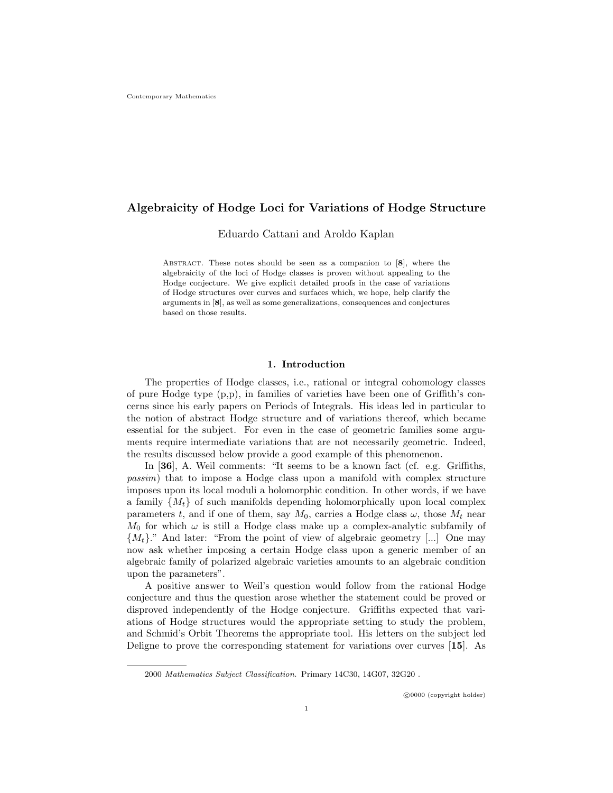# Algebraicity of Hodge Loci for Variations of Hodge Structure

Eduardo Cattani and Aroldo Kaplan

ABSTRACT. These notes should be seen as a companion to  $[8]$ , where the algebraicity of the loci of Hodge classes is proven without appealing to the Hodge conjecture. We give explicit detailed proofs in the case of variations of Hodge structures over curves and surfaces which, we hope, help clarify the arguments in [8], as well as some generalizations, consequences and conjectures based on those results.

## 1. Introduction

The properties of Hodge classes, i.e., rational or integral cohomology classes of pure Hodge type (p,p), in families of varieties have been one of Griffith's concerns since his early papers on Periods of Integrals. His ideas led in particular to the notion of abstract Hodge structure and of variations thereof, which became essential for the subject. For even in the case of geometric families some arguments require intermediate variations that are not necessarily geometric. Indeed, the results discussed below provide a good example of this phenomenon.

In [36], A. Weil comments: "It seems to be a known fact (cf. e.g. Griffiths, passim) that to impose a Hodge class upon a manifold with complex structure imposes upon its local moduli a holomorphic condition. In other words, if we have a family  $\{M_t\}$  of such manifolds depending holomorphically upon local complex parameters t, and if one of them, say  $M_0$ , carries a Hodge class  $\omega$ , those  $M_t$  near  $M_0$  for which  $\omega$  is still a Hodge class make up a complex-analytic subfamily of  $\{M_t\}$ ." And later: "From the point of view of algebraic geometry [...] One may now ask whether imposing a certain Hodge class upon a generic member of an algebraic family of polarized algebraic varieties amounts to an algebraic condition upon the parameters".

A positive answer to Weil's question would follow from the rational Hodge conjecture and thus the question arose whether the statement could be proved or disproved independently of the Hodge conjecture. Griffiths expected that variations of Hodge structures would the appropriate setting to study the problem, and Schmid's Orbit Theorems the appropriate tool. His letters on the subject led Deligne to prove the corresponding statement for variations over curves [15]. As

<sup>2000</sup> Mathematics Subject Classification. Primary 14C30, 14G07, 32G20 .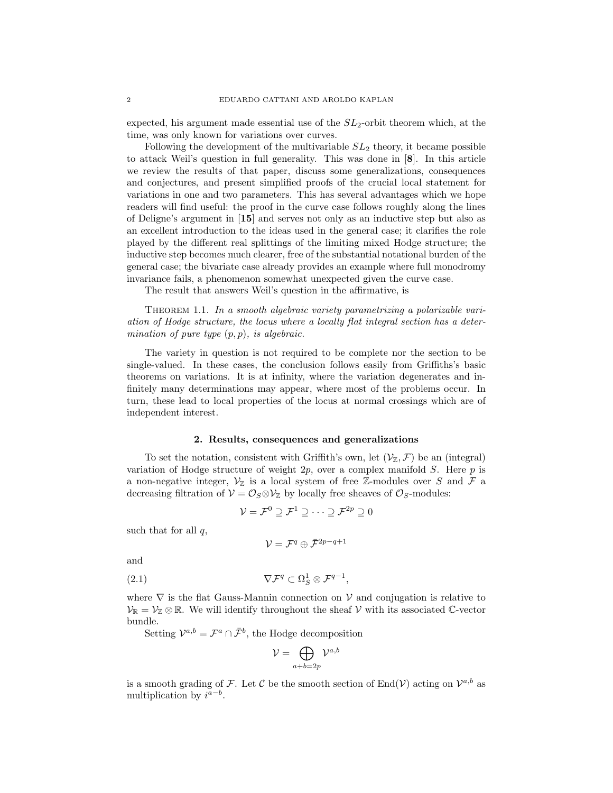expected, his argument made essential use of the  $SL_2$ -orbit theorem which, at the time, was only known for variations over curves.

Following the development of the multivariable  $SL<sub>2</sub>$  theory, it became possible to attack Weil's question in full generality. This was done in [8]. In this article we review the results of that paper, discuss some generalizations, consequences and conjectures, and present simplified proofs of the crucial local statement for variations in one and two parameters. This has several advantages which we hope readers will find useful: the proof in the curve case follows roughly along the lines of Deligne's argument in [15] and serves not only as an inductive step but also as an excellent introduction to the ideas used in the general case; it clarifies the role played by the different real splittings of the limiting mixed Hodge structure; the inductive step becomes much clearer, free of the substantial notational burden of the general case; the bivariate case already provides an example where full monodromy invariance fails, a phenomenon somewhat unexpected given the curve case.

The result that answers Weil's question in the affirmative, is

THEOREM 1.1. In a smooth algebraic variety parametrizing a polarizable variation of Hodge structure, the locus where a locally flat integral section has a determination of pure type  $(p, p)$ , is algebraic.

The variety in question is not required to be complete nor the section to be single-valued. In these cases, the conclusion follows easily from Griffiths's basic theorems on variations. It is at infinity, where the variation degenerates and infinitely many determinations may appear, where most of the problems occur. In turn, these lead to local properties of the locus at normal crossings which are of independent interest.

#### 2. Results, consequences and generalizations

To set the notation, consistent with Griffith's own, let  $(\mathcal{V}_{\mathbb{Z}}, \mathcal{F})$  be an (integral) variation of Hodge structure of weight  $2p$ , over a complex manifold S. Here p is a non-negative integer,  $V_{\mathbb{Z}}$  is a local system of free Z-modules over S and F a decreasing filtration of  $\mathcal{V} = \mathcal{O}_S \otimes \mathcal{V}_\mathbb{Z}$  by locally free sheaves of  $\mathcal{O}_S$ -modules:

$$
\mathcal{V} = \mathcal{F}^0 \supseteq \mathcal{F}^1 \supseteq \cdots \supseteq \mathcal{F}^{2p} \supseteq 0
$$

such that for all  $q$ ,

$$
\mathcal{V}=\mathcal{F}^q\oplus\bar{\mathcal{F}}^{2p-q+1}
$$

and

$$
(2.1) \t\nabla \mathcal{F}^q \subset \Omega_S^1 \otimes \mathcal{F}^{q-1},
$$

where  $\nabla$  is the flat Gauss-Mannin connection on  $\mathcal V$  and conjugation is relative to  $\mathcal{V}_{\mathbb{R}} = \mathcal{V}_{\mathbb{Z}} \otimes \mathbb{R}$ . We will identify throughout the sheaf  $\mathcal{V}$  with its associated  $\mathbb{C}$ -vector bundle.

Setting  $\mathcal{V}^{a,b} = \mathcal{F}^a \cap \bar{\mathcal{F}}^b$ , the Hodge decomposition

$$
\mathcal{V}=\bigoplus_{a+b=2p}\mathcal{V}^{a,b}
$$

is a smooth grading of F. Let C be the smooth section of  $\text{End}(\mathcal{V})$  acting on  $\mathcal{V}^{a,b}$  as multiplication by  $i^{a-b}$ .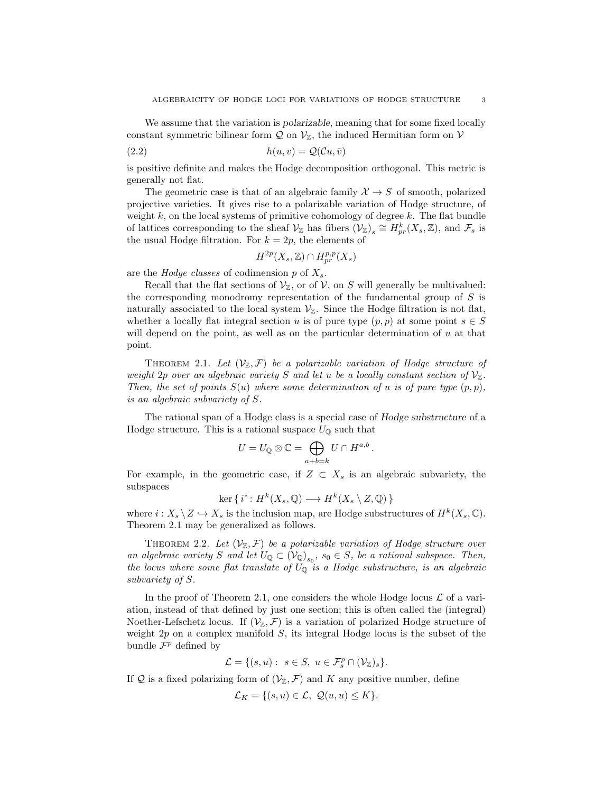We assume that the variation is *polarizable*, meaning that for some fixed locally constant symmetric bilinear form  $\mathcal Q$  on  $\mathcal V_{\mathbb Z}$ , the induced Hermitian form on  $\mathcal V$ 

$$
(2.2) \t\t\t h(u,v) = \mathcal{Q}(\mathcal{C}u,\bar{v})
$$

is positive definite and makes the Hodge decomposition orthogonal. This metric is generally not flat.

The geometric case is that of an algebraic family  $\mathcal{X} \to S$  of smooth, polarized projective varieties. It gives rise to a polarizable variation of Hodge structure, of weight  $k$ , on the local systems of primitive cohomology of degree  $k$ . The flat bundle of lattices corresponding to the sheaf  $\mathcal{V}_{\mathbb{Z}}$  has fibers  $(\mathcal{V}_{\mathbb{Z}})_s \cong H_{pr}^k(X_s, \mathbb{Z})$ , and  $\mathcal{F}_s$  is the usual Hodge filtration. For  $k = 2p$ , the elements of

$$
H^{2p}(X_s, \mathbb{Z}) \cap H^{p,p}_{pr}(X_s)
$$

are the *Hodge classes* of codimension  $p$  of  $X_s$ .

Recall that the flat sections of  $\mathcal{V}_{\mathbb{Z}}$ , or of  $\mathcal{V}$ , on S will generally be multivalued: the corresponding monodromy representation of the fundamental group of S is naturally associated to the local system  $\mathcal{V}_{\mathbb{Z}}$ . Since the Hodge filtration is not flat, whether a locally flat integral section u is of pure type  $(p, p)$  at some point  $s \in S$ will depend on the point, as well as on the particular determination of  $u$  at that point.

THEOREM 2.1. Let  $(\mathcal{V}_{\mathbb{Z}}, \mathcal{F})$  be a polarizable variation of Hodge structure of weight 2p over an algebraic variety S and let u be a locally constant section of  $\mathcal{V}_{\mathbb{Z}}$ . Then, the set of points  $S(u)$  where some determination of u is of pure type  $(p, p)$ , is an algebraic subvariety of S.

The rational span of a Hodge class is a special case of Hodge substructure of a Hodge structure. This is a rational suspace  $U_{\mathbb{Q}}$  such that

$$
U = U_{\mathbb{Q}} \otimes \mathbb{C} = \bigoplus_{a+b=k} U \cap H^{a,b}.
$$

For example, in the geometric case, if  $Z \subset X_s$  is an algebraic subvariety, the subspaces

$$
\ker\{i^*: H^k(X_s, \mathbb{Q}) \longrightarrow H^k(X_s \setminus Z, \mathbb{Q})\}
$$

where  $i: X_s \setminus Z \hookrightarrow X_s$  is the inclusion map, are Hodge substructures of  $H^k(X_s, \mathbb{C})$ . Theorem 2.1 may be generalized as follows.

THEOREM 2.2. Let  $(\mathcal{V}_{\mathbb{Z}}, \mathcal{F})$  be a polarizable variation of Hodge structure over an algebraic variety S and let  $U_{\mathbb{Q}} \subset (\mathcal{V}_{\mathbb{Q}})_{s_0}$ ,  $s_0 \in S$ , be a rational subspace. Then, the locus where some flat translate of  $U_{\mathbb{Q}}$  is a Hodge substructure, is an algebraic subvariety of S.

In the proof of Theorem 2.1, one considers the whole Hodge locus  $\mathcal L$  of a variation, instead of that defined by just one section; this is often called the (integral) Noether-Lefschetz locus. If  $(\mathcal{V}_{\mathbb{Z}}, \mathcal{F})$  is a variation of polarized Hodge structure of weight  $2p$  on a complex manifold  $S$ , its integral Hodge locus is the subset of the bundle  $\mathcal{F}^p$  defined by

$$
\mathcal{L} = \{ (s, u) : s \in S, u \in \mathcal{F}_s^p \cap (\mathcal{V}_\mathbb{Z})_s \}.
$$

If Q is a fixed polarizing form of  $(\mathcal{V}_{\mathbb{Z}}, \mathcal{F})$  and K any positive number, define

$$
\mathcal{L}_K = \{(s, u) \in \mathcal{L}, \ Q(u, u) \leq K\}.
$$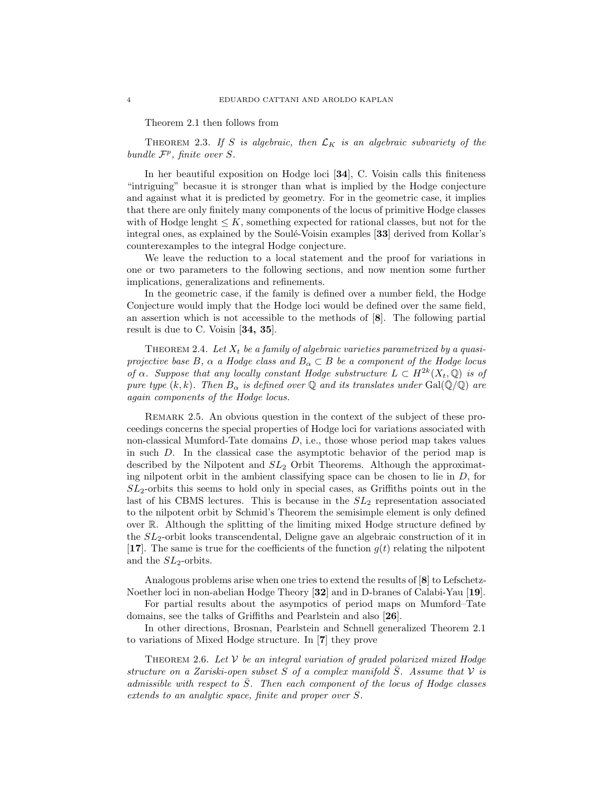Theorem 2.1 then follows from

THEOREM 2.3. If S is algebraic, then  $\mathcal{L}_K$  is an algebraic subvariety of the bundle  $\mathcal{F}^p$ , finite over S.

In her beautiful exposition on Hodge loci [34], C. Voisin calls this finiteness "intriguing" becasue it is stronger than what is implied by the Hodge conjecture and against what it is predicted by geometry. For in the geometric case, it implies that there are only finitely many components of the locus of primitive Hodge classes with of Hodge lenght  $\leq K$ , something expected for rational classes, but not for the integral ones, as explained by the Soulé-Voisin examples  $[33]$  derived from Kollar's counterexamples to the integral Hodge conjecture.

We leave the reduction to a local statement and the proof for variations in one or two parameters to the following sections, and now mention some further implications, generalizations and refinements.

In the geometric case, if the family is defined over a number field, the Hodge Conjecture would imply that the Hodge loci would be defined over the same field, an assertion which is not accessible to the methods of [8]. The following partial result is due to C. Voisin [34, 35].

THEOREM 2.4. Let  $X_t$  be a family of algebraic varieties parametrized by a quasiprojective base B,  $\alpha$  a Hodge class and  $B_{\alpha} \subset B$  be a component of the Hodge locus of  $\alpha$ . Suppose that any locally constant Hodge substructure  $L \subset H^{2k}(X_t, \mathbb{Q})$  is of pure type  $(k, k)$ . Then  $B_{\alpha}$  is defined over Q and its translates under Gal( $\overline{Q}/Q$ ) are again components of the Hodge locus.

REMARK 2.5. An obvious question in the context of the subject of these proceedings concerns the special properties of Hodge loci for variations associated with non-classical Mumford-Tate domains D, i.e., those whose period map takes values in such  $D$ . In the classical case the asymptotic behavior of the period map is described by the Nilpotent and  $SL<sub>2</sub>$  Orbit Theorems. Although the approximating nilpotent orbit in the ambient classifying space can be chosen to lie in  $D$ , for  $SL<sub>2</sub>$ -orbits this seems to hold only in special cases, as Griffiths points out in the last of his CBMS lectures. This is because in the  $SL<sub>2</sub>$  representation associated to the nilpotent orbit by Schmid's Theorem the semisimple element is only defined over R. Although the splitting of the limiting mixed Hodge structure defined by the  $SL<sub>2</sub>$ -orbit looks transcendental, Deligne gave an algebraic construction of it in [17]. The same is true for the coefficients of the function  $g(t)$  relating the nilpotent and the  $SL_2$ -orbits.

Analogous problems arise when one tries to extend the results of [8] to Lefschetz-Noether loci in non-abelian Hodge Theory [32] and in D-branes of Calabi-Yau [19].

For partial results about the asympotics of period maps on Mumford–Tate domains, see the talks of Griffiths and Pearlstein and also [26].

In other directions, Brosnan, Pearlstein and Schnell generalized Theorem 2.1 to variations of Mixed Hodge structure. In [7] they prove

THEOREM 2.6. Let  $V$  be an integral variation of graded polarized mixed Hodge structure on a Zariski-open subset S of a complex manifold  $\overline{S}$ . Assume that V is admissible with respect to  $\overline{S}$ . Then each component of the locus of Hodge classes extends to an analytic space, finite and proper over S.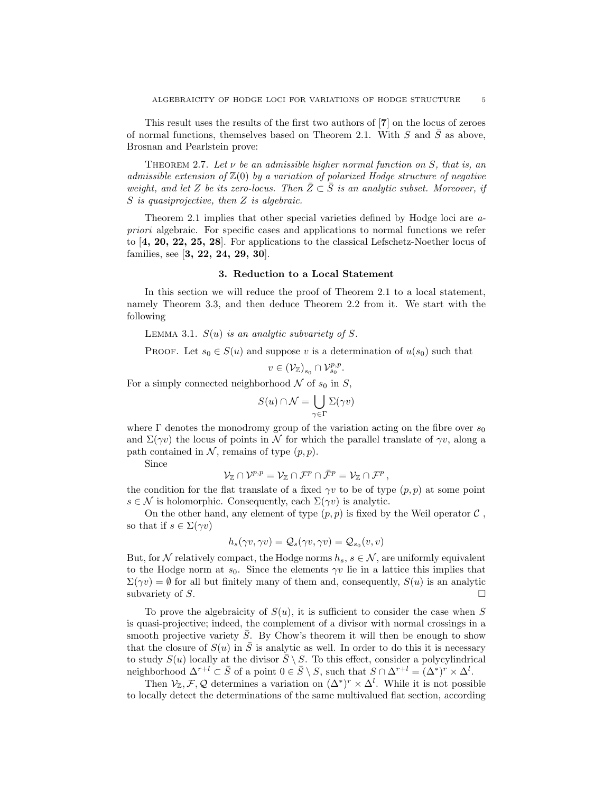This result uses the results of the first two authors of [7] on the locus of zeroes of normal functions, themselves based on Theorem 2.1. With  $S$  and  $\overline{S}$  as above, Brosnan and Pearlstein prove:

THEOREM 2.7. Let  $\nu$  be an admissible higher normal function on S, that is, an admissible extension of  $\mathbb{Z}(0)$  by a variation of polarized Hodge structure of negative weight, and let Z be its zero-locus. Then  $\bar{Z}\subset \bar{S}$  is an analytic subset. Moreover, if S is quasiprojective, then Z is algebraic.

Theorem 2.1 implies that other special varieties defined by Hodge loci are apriori algebraic. For specific cases and applications to normal functions we refer to [4, 20, 22, 25, 28]. For applications to the classical Lefschetz-Noether locus of families, see [3, 22, 24, 29, 30].

#### 3. Reduction to a Local Statement

In this section we will reduce the proof of Theorem 2.1 to a local statement, namely Theorem 3.3, and then deduce Theorem 2.2 from it. We start with the following

LEMMA 3.1.  $S(u)$  is an analytic subvariety of S.

PROOF. Let  $s_0 \in S(u)$  and suppose v is a determination of  $u(s_0)$  such that

$$
v\in \left(\mathcal{V}_{\mathbb{Z}}\right)_{s_0}\cap \mathcal{V}_{s_0}^{p,p}.
$$

For a simply connected neighborhood  $\mathcal N$  of  $s_0$  in  $S$ ,

$$
S(u) \cap \mathcal{N} = \bigcup_{\gamma \in \Gamma} \Sigma(\gamma v)
$$

where  $\Gamma$  denotes the monodromy group of the variation acting on the fibre over  $s_0$ and  $\Sigma(\gamma v)$  the locus of points in N for which the parallel translate of  $\gamma v$ , along a path contained in  $\mathcal N$ , remains of type  $(p, p)$ .

Since

$$
\mathcal{V}_\mathbb{Z} \cap \mathcal{V}^{p,p} = \mathcal{V}_\mathbb{Z} \cap \mathcal{F}^p \cap \bar{\mathcal{F}}^p = \mathcal{V}_\mathbb{Z} \cap \mathcal{F}^p \,,
$$

the condition for the flat translate of a fixed  $\gamma v$  to be of type  $(p, p)$  at some point  $s \in \mathcal{N}$  is holomorphic. Consequently, each  $\Sigma(\gamma v)$  is analytic.

On the other hand, any element of type  $(p, p)$  is fixed by the Weil operator  $\mathcal C$ , so that if  $s \in \Sigma(\gamma v)$ 

$$
h_s(\gamma v,\gamma v)=\mathcal{Q}_s(\gamma v,\gamma v)=\mathcal{Q}_{s_0}(v,v)
$$

But, for N relatively compact, the Hodge norms  $h_s$ ,  $s \in \mathcal{N}$ , are uniformly equivalent to the Hodge norm at  $s_0$ . Since the elements  $\gamma v$  lie in a lattice this implies that  $\Sigma(\gamma v) = \emptyset$  for all but finitely many of them and, consequently,  $S(u)$  is an analytic subvariety of S.

To prove the algebraicity of  $S(u)$ , it is sufficient to consider the case when S is quasi-projective; indeed, the complement of a divisor with normal crossings in a smooth projective variety  $\overline{S}$ . By Chow's theorem it will then be enough to show that the closure of  $S(u)$  in S is analytic as well. In order to do this it is necessary to study  $S(u)$  locally at the divisor  $\overline{S} \setminus S$ . To this effect, consider a polycylindrical neighborhood  $\Delta^{r+l} \subset \overline{S}$  of a point  $0 \in \overline{S} \setminus S$ , such that  $S \cap \Delta^{r+l} = (\Delta^*)^r \times \Delta^l$ .

Then  $\mathcal{V}_{\mathbb{Z}}, \mathcal{F}, \mathcal{Q}$  determines a variation on  $(\Delta^*)^r \times \Delta^l$ . While it is not possible to locally detect the determinations of the same multivalued flat section, according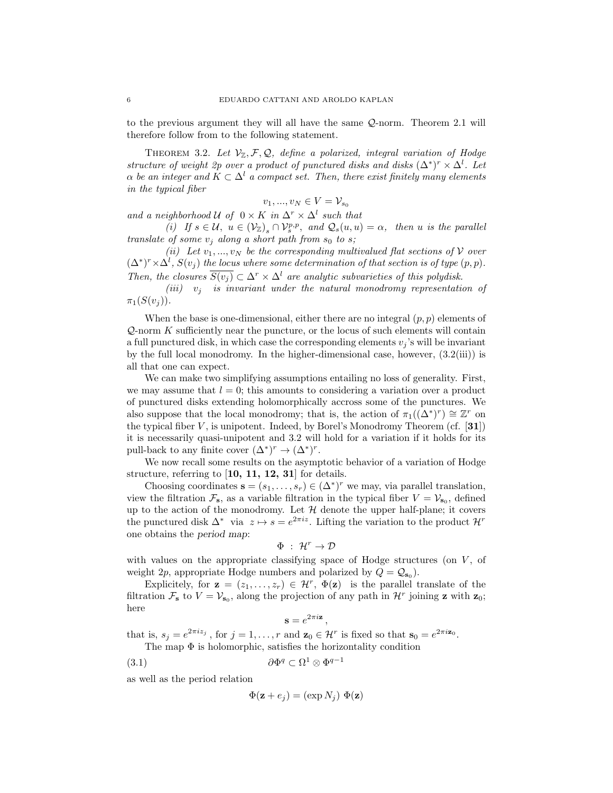to the previous argument they will all have the same Q-norm. Theorem 2.1 will therefore follow from to the following statement.

THEOREM 3.2. Let  $V_{\mathbb{Z}}, \mathcal{F}, \mathcal{Q},$  define a polarized, integral variation of Hodge structure of weight 2p over a product of punctured disks and disks  $(\Delta^*)^r \times \Delta^l$ . Let  $\alpha$  be an integer and  $K \subset \Delta^l$  a compact set. Then, there exist finitely many elements in the typical fiber

$$
v_1, ..., v_N \in V = \mathcal{V}_{s_0}
$$

and a neighborhood U of  $0 \times K$  in  $\Delta^r \times \Delta^l$  such that (i) If  $s \in \mathcal{U}, u \in (\mathcal{V}_{\mathbb{Z}})_s \cap \mathcal{V}_s^{p,p}$ , and  $\mathcal{Q}_s(u, u) = \alpha$ , then u is the parallel translate of some  $v_i$  along a short path from  $s_0$  to s;

(ii) Let  $v_1, ..., v_N$  be the corresponding multivalued flat sections of V over  $(\Delta^*)^r \times \Delta^l$ ,  $S(v_j)$  the locus where some determination of that section is of type  $(p, p)$ . Then, the closures  $\overline{S(v_i)} \subset \Delta^r \times \Delta^l$  are analytic subvarieties of this polydisk.

(iii)  $v_i$  is invariant under the natural monodromy representation of  $\pi_1(S(v_i))$ .

When the base is one-dimensional, either there are no integral  $(p, p)$  elements of  $Q$ -norm  $K$  sufficiently near the puncture, or the locus of such elements will contain a full punctured disk, in which case the corresponding elements  $v_i$ 's will be invariant by the full local monodromy. In the higher-dimensional case, however,  $(3.2(iii))$  is all that one can expect.

We can make two simplifying assumptions entailing no loss of generality. First, we may assume that  $l = 0$ ; this amounts to considering a variation over a product of punctured disks extending holomorphically accross some of the punctures. We also suppose that the local monodromy; that is, the action of  $\pi_1((\Delta^*)^r) \cong \mathbb{Z}^r$  on the typical fiber  $V$ , is unipotent. Indeed, by Borel's Monodromy Theorem (cf. [31]) it is necessarily quasi-unipotent and 3.2 will hold for a variation if it holds for its pull-back to any finite cover  $(\Delta^*)^r \to (\Delta^*)^r$ .

We now recall some results on the asymptotic behavior of a variation of Hodge structure, referring to  $\left[10, 11, 12, 31\right]$  for details.

Choosing coordinates  $\mathbf{s} = (s_1, \ldots, s_r) \in (\Delta^*)^r$  we may, via parallel translation, view the filtration  $\mathcal{F}_s$ , as a variable filtration in the typical fiber  $V = V_{s_0}$ , defined up to the action of the monodromy. Let  $H$  denote the upper half-plane; it covers the punctured disk  $\Delta^*$  via  $z \mapsto s = e^{2\pi i z}$ . Lifting the variation to the product  $\mathcal{H}^r$ one obtains the period map:

$$
\Phi\;:\;\mathcal{H}^r\rightarrow\mathcal{D}
$$

with values on the appropriate classifying space of Hodge structures (on  $V$ , of weight 2p, appropriate Hodge numbers and polarized by  $Q = \mathcal{Q}_{s_0}$ .

Explicitely, for  $\mathbf{z} = (z_1, \ldots, z_r) \in \mathcal{H}^r$ ,  $\Phi(\mathbf{z})$  is the parallel translate of the filtration  $\mathcal{F}_s$  to  $V = V_{s_0}$ , along the projection of any path in  $\mathcal{H}^r$  joining **z** with **z**<sub>0</sub>; here

$$
\mathbf{s}=e^{2\pi i \mathbf{z}}
$$

,

that is,  $s_j = e^{2\pi i z_j}$ , for  $j = 1, ..., r$  and  $\mathbf{z}_0 \in \mathcal{H}^r$  is fixed so that  $\mathbf{s}_0 = e^{2\pi i \mathbf{z}_0}$ . The map  $\Phi$  is holomorphic, satisfies the horizontality condition

$$
(3.1) \t\t \t\t \partial \Phi^q \subset \Omega^1 \otimes \Phi^{q-1}
$$

as well as the period relation

$$
\Phi(\mathbf{z} + e_j) = (\exp N_j) \Phi(\mathbf{z})
$$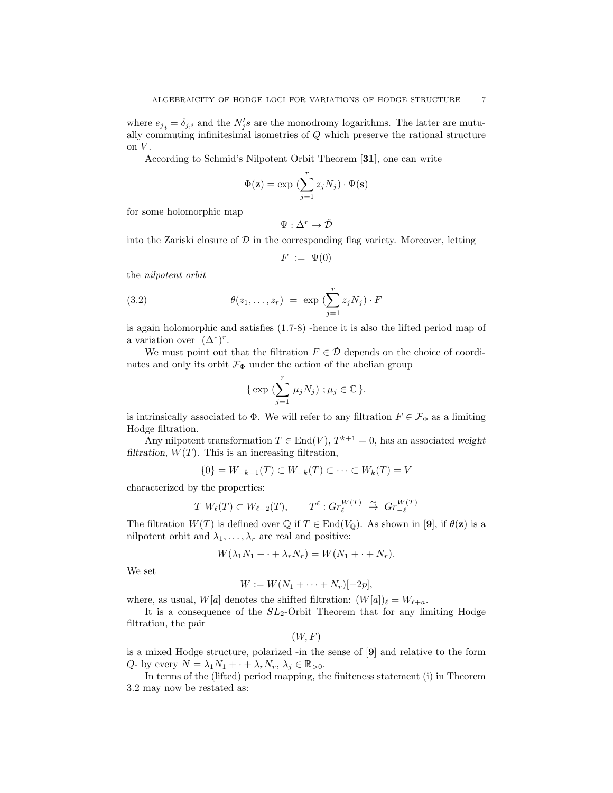where  $e_{j_i} = \delta_{j,i}$  and the  $N'_j s$  are the monodromy logarithms. The latter are mutually commuting infinitesimal isometries of Q which preserve the rational structure on  $V$ .

According to Schmid's Nilpotent Orbit Theorem [31], one can write

$$
\Phi(\mathbf{z}) = \exp\left(\sum_{j=1}^{r} z_j N_j\right) \cdot \Psi(\mathbf{s})
$$

for some holomorphic map

$$
\Psi:\Delta^r\rightarrow\check{\mathcal{D}}
$$

into the Zariski closure of  $\mathcal D$  in the corresponding flag variety. Moreover, letting

$$
F := \Psi(0)
$$

the nilpotent orbit

(3.2) 
$$
\theta(z_1,\ldots,z_r) = \exp\left(\sum_{j=1}^r z_j N_j\right) \cdot F
$$

is again holomorphic and satisfies (1.7-8) -hence it is also the lifted period map of a variation over  $(\Delta^*)^r$ .

We must point out that the filtration  $F \in \check{\mathcal{D}}$  depends on the choice of coordinates and only its orbit  $\mathcal{F}_{\Phi}$  under the action of the abelian group

{ exp 
$$
(\sum_{j=1}^r \mu_j N_j)
$$
 ;  $\mu_j \in \mathbb{C}$  }.

is intrinsically associated to  $\Phi$ . We will refer to any filtration  $F \in \mathcal{F}_{\Phi}$  as a limiting Hodge filtration.

Any nilpotent transformation  $T \in End(V)$ ,  $T^{k+1} = 0$ , has an associated weight filtration,  $W(T)$ . This is an increasing filtration,

$$
\{0\} = W_{-k-1}(T) \subset W_{-k}(T) \subset \cdots \subset W_k(T) = V
$$

characterized by the properties:

$$
T W_{\ell}(T) \subset W_{\ell-2}(T), \qquad T^{\ell} : Gr_{\ell}^{W(T)} \stackrel{\sim}{\to} Gr_{-\ell}^{W(T)}
$$

The filtration  $W(T)$  is defined over  $\mathbb Q$  if  $T \in \text{End}(V_0)$ . As shown in [9], if  $\theta(\mathbf{z})$  is a nilpotent orbit and  $\lambda_1, \ldots, \lambda_r$  are real and positive:

$$
W(\lambda_1 N_1 + \cdot + \lambda_r N_r) = W(N_1 + \cdot + N_r).
$$

We set

$$
W := W(N_1 + \cdots + N_r)[-2p],
$$

where, as usual,  $W[a]$  denotes the shifted filtration:  $(W[a])_{\ell} = W_{\ell+a}$ .

It is a consequence of the  $SL_2$ -Orbit Theorem that for any limiting Hodge filtration, the pair

$$
(W, F)
$$

is a mixed Hodge structure, polarized -in the sense of [9] and relative to the form  $Q$ - by every  $N = \lambda_1 N_1 + \cdots + \lambda_r N_r, \lambda_j \in \mathbb{R}_{>0}$ .

In terms of the (lifted) period mapping, the finiteness statement (i) in Theorem 3.2 may now be restated as: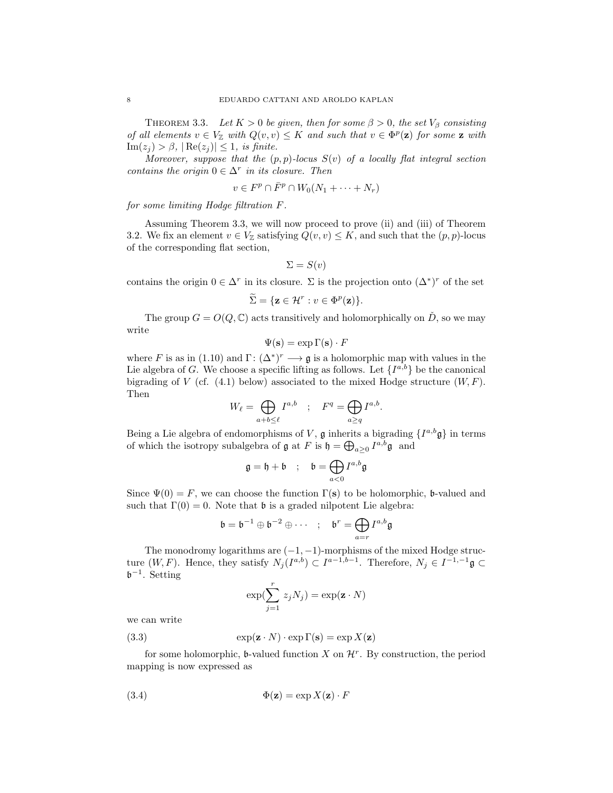THEOREM 3.3. Let  $K > 0$  be given, then for some  $\beta > 0$ , the set  $V_{\beta}$  consisting of all elements  $v \in V_{\mathbb{Z}}$  with  $Q(v, v) \leq K$  and such that  $v \in \Phi^p(\mathbf{z})$  for some  $\mathbf{z}$  with  $\text{Im}(z_i) > \beta$ ,  $|\text{Re}(z_i)| \leq 1$ , is finite.

Moreover, suppose that the  $(p, p)$ -locus  $S(v)$  of a locally flat integral section contains the origin  $0 \in \Delta^r$  in its closure. Then

$$
v \in F^p \cap \bar{F}^p \cap W_0(N_1 + \dots + N_r)
$$

for some limiting Hodge filtration F.

Assuming Theorem 3.3, we will now proceed to prove (ii) and (iii) of Theorem 3.2. We fix an element  $v \in V_{\mathbb{Z}}$  satisfying  $Q(v, v) \leq K$ , and such that the  $(p, p)$ -locus of the corresponding flat section,

$$
\Sigma = S(v)
$$

contains the origin  $0 \in \Delta^r$  in its closure.  $\Sigma$  is the projection onto  $(\Delta^*)^r$  of the set

$$
\widetilde{\Sigma} = \{ \mathbf{z} \in \mathcal{H}^r : v \in \Phi^p(\mathbf{z}) \}.
$$

The group  $G = O(Q, \mathbb{C})$  acts transitively and holomorphically on  $\check{D}$ , so we may write

$$
\Psi(\mathbf{s}) = \exp \Gamma(\mathbf{s}) \cdot F
$$

where F is as in (1.10) and  $\Gamma: (\Delta^*)^r \longrightarrow \mathfrak{g}$  is a holomorphic map with values in the Lie algebra of G. We choose a specific lifting as follows. Let  $\{I^{a,b}\}\$  be the canonical bigrading of V (cf.  $(4.1)$  below) associated to the mixed Hodge structure  $(W, F)$ . Then

$$
W_{\ell} = \bigoplus_{a+b \leq \ell} I^{a,b} \quad ; \quad F^q = \bigoplus_{a \geq q} I^{a,b}.
$$

Being a Lie algebra of endomorphisms of V,  $\mathfrak g$  inherits a bigrading  $\{I^{a,b}\mathfrak g\}$  in terms of which the isotropy subalgebra of  $\mathfrak g$  at F is  $\mathfrak h = \bigoplus_{a \geq 0} I^{a,b} \mathfrak g$  and

$$
\mathfrak{g} = \mathfrak{h} + \mathfrak{b} \quad ; \quad \mathfrak{b} = \bigoplus_{a < 0} I^{a,b} \mathfrak{g}
$$

Since  $\Psi(0) = F$ , we can choose the function  $\Gamma(\mathbf{s})$  to be holomorphic, b-valued and such that  $\Gamma(0) = 0$ . Note that **b** is a graded nilpotent Lie algebra:

$$
\mathfrak{b}=\mathfrak{b}^{-1}\oplus \mathfrak{b}^{-2}\oplus \cdots \quad ; \quad \mathfrak{b}^r=\bigoplus_{a=r}I^{a,b}\mathfrak{g}
$$

The monodromy logarithms are  $(-1, -1)$ -morphisms of the mixed Hodge structure  $(W, F)$ . Hence, they satisfy  $N_j(I^{a,b}) \subset I^{a-1,b-1}$ . Therefore,  $N_j \in I^{-1,-1}$ g  $\subset$  $\mathfrak{b}^{-1}$ . Setting

$$
\exp(\sum_{j=1}^{r} z_j N_j) = \exp(\mathbf{z} \cdot N)
$$

we can write

(3.3) 
$$
\exp(\mathbf{z} \cdot N) \cdot \exp \Gamma(\mathbf{s}) = \exp X(\mathbf{z})
$$

for some holomorphic, b-valued function X on  $\mathcal{H}^r$ . By construction, the period mapping is now expressed as

(3.4) 
$$
\Phi(\mathbf{z}) = \exp X(\mathbf{z}) \cdot F
$$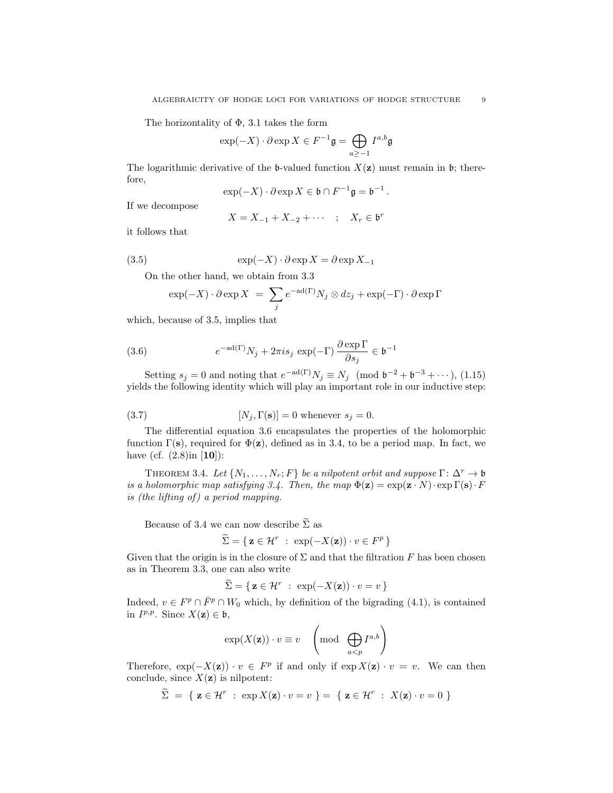The horizontality of  $\Phi$ , 3.1 takes the form

$$
\exp(-X)\cdot \partial \exp X \in F^{-1}\mathfrak{g} = \bigoplus_{a\geq -1} I^{a,b}\mathfrak{g}
$$

The logarithmic derivative of the b-valued function  $X(\mathbf{z})$  must remain in b; therefore,

$$
\exp(-X) \cdot \partial \exp X \in \mathfrak{b} \cap F^{-1} \mathfrak{g} = \mathfrak{b}^{-1}.
$$

If we decompose

$$
X = X_{-1} + X_{-2} + \cdots \quad ; \quad X_r \in \mathfrak{b}^r
$$

it follows that

(3.5) 
$$
\exp(-X) \cdot \partial \exp X = \partial \exp X_{-1}
$$

On the other hand, we obtain from 3.3

$$
\exp(-X) \cdot \partial \exp X = \sum_{j} e^{-ad(\Gamma)} N_j \otimes dz_j + \exp(-\Gamma) \cdot \partial \exp \Gamma
$$

which, because of 3.5, implies that

(3.6) 
$$
e^{-ad(\Gamma)}N_j + 2\pi i s_j \exp(-\Gamma) \frac{\partial \exp \Gamma}{\partial s_j} \in \mathfrak{b}^{-1}
$$

Setting  $s_j = 0$  and noting that  $e^{-ad(\Gamma)} N_j \equiv N_j \pmod{\mathfrak{b}^{-2} + \mathfrak{b}^{-3} + \cdots}$ , (1.15) yields the following identity which will play an important role in our inductive step:

(3.7) 
$$
[N_j, \Gamma(\mathbf{s})] = 0 \text{ whenever } s_j = 0.
$$

The differential equation 3.6 encapsulates the properties of the holomorphic function  $\Gamma(\mathbf{s})$ , required for  $\Phi(\mathbf{z})$ , defined as in 3.4, to be a period map. In fact, we have (cf.  $(2.8)$ in  $[10]$ ):

THEOREM 3.4. Let  $\{N_1, \ldots, N_r; F\}$  be a nilpotent orbit and suppose  $\Gamma: \Delta^r \to \mathfrak{b}$ is a holomorphic map satisfying 3.4. Then, the map  $\Phi(\mathbf{z}) = \exp(\mathbf{z} \cdot N) \cdot \exp \Gamma(\mathbf{s}) \cdot F$ is (the lifting of ) a period mapping.

Because of 3.4 we can now describe  $\tilde{\Sigma}$  as

$$
\widetilde{\Sigma} = \{ \, \mathbf{z} \in \mathcal{H}^r \; : \; \exp(-X(\mathbf{z})) \cdot v \in F^p \, \}
$$

Given that the origin is in the closure of  $\Sigma$  and that the filtration F has been chosen as in Theorem 3.3, one can also write

$$
\widetilde{\Sigma} = \{ \mathbf{z} \in \mathcal{H}^r \; : \; \exp(-X(\mathbf{z})) \cdot v = v \}
$$

Indeed,  $v \in F^p \cap \overline{F}^p \cap W_0$  which, by definition of the bigrading (4.1), is contained in  $I^{p,p}$ . Since  $X(\mathbf{z}) \in \mathfrak{b}$ ,

$$
\exp(X(\mathbf{z})) \cdot v \equiv v \quad \left(\text{mod}\quad \bigoplus_{a < p} I^{a,b}\right)
$$

Therefore,  $\exp(-X(\mathbf{z})) \cdot v \in F^p$  if and only if  $\exp X(\mathbf{z}) \cdot v = v$ . We can then conclude, since  $X(\mathbf{z})$  is nilpotent:

$$
\widetilde{\Sigma} = \{ \mathbf{z} \in \mathcal{H}^r : \exp X(\mathbf{z}) \cdot v = v \} = \{ \mathbf{z} \in \mathcal{H}^r : X(\mathbf{z}) \cdot v = 0 \}
$$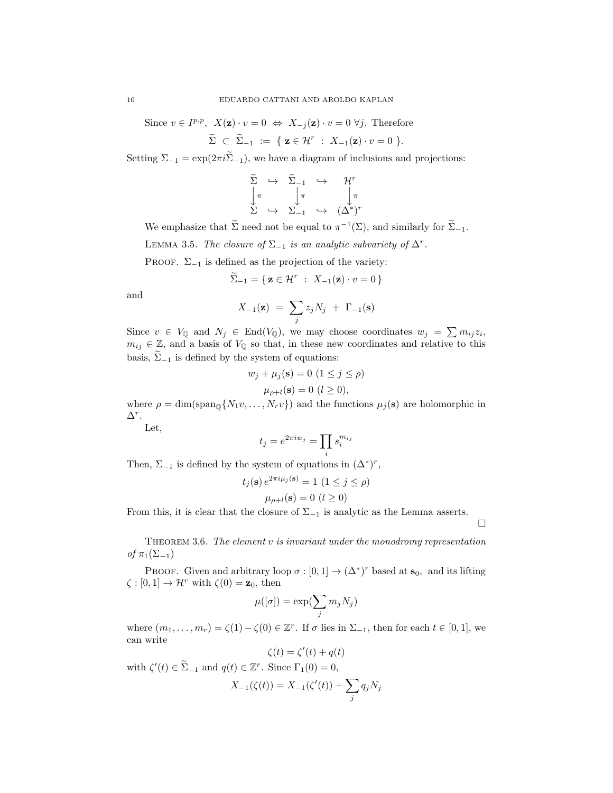Since  $v \in I^{p,p}, X(\mathbf{z}) \cdot v = 0 \Leftrightarrow X_{-j}(\mathbf{z}) \cdot v = 0 \ \forall j.$  Therefore

$$
\widetilde{\Sigma} \subset \widetilde{\Sigma}_{-1} := \{ \mathbf{z} \in \mathcal{H}^r : X_{-1}(\mathbf{z}) \cdot v = 0 \}.
$$

Setting  $\Sigma_{-1} = \exp(2\pi i \tilde{\Sigma}_{-1})$ , we have a diagram of inclusions and projections:

$$
\begin{array}{ccc}\n\widetilde{\Sigma} & \hookrightarrow & \widetilde{\Sigma}_{-1} & \hookrightarrow & \mathcal{H}^r \\
\downarrow \pi & & \downarrow \pi & & \downarrow \pi \\
\Sigma & \hookrightarrow & \Sigma_{-1} & \hookrightarrow & (\Delta^*)^r\n\end{array}
$$

We emphasize that  $\tilde{\Sigma}$  need not be equal to  $\pi^{-1}(\Sigma)$ , and similarly for  $\tilde{\Sigma}_{-1}$ .

LEMMA 3.5. The closure of  $\Sigma_{-1}$  is an analytic subvariety of  $\Delta^r$ .

PROOF.  $\Sigma_{-1}$  is defined as the projection of the variety:

$$
\widetilde{\Sigma}_{-1} = \{ \mathbf{z} \in \mathcal{H}^r \; : \; X_{-1}(\mathbf{z}) \cdot v = 0 \}
$$

and

$$
X_{-1}(\mathbf{z}) = \sum_j z_j N_j + \Gamma_{-1}(\mathbf{s})
$$

Since  $v \in V_{\mathbb{Q}}$  and  $N_j \in \text{End}(V_{\mathbb{Q}})$ , we may choose coordinates  $w_j = \sum m_{ij} z_i$ ,  $m_{ij} \in \mathbb{Z}$ , and a basis of  $V_{\mathbb{Q}}$  so that, in these new coordinates and relative to this basis,  $\widetilde{\Sigma}_{-1}$  is defined by the system of equations:

$$
w_j + \mu_j(\mathbf{s}) = 0 \ (1 \le j \le \rho)
$$
  

$$
\mu_{\rho + l}(\mathbf{s}) = 0 \ (l \ge 0),
$$

where  $\rho = \dim(\text{span}_{\mathbb{Q}}\{N_1v, \ldots, N_rv\})$  and the functions  $\mu_j(\mathbf{s})$  are holomorphic in  $\Delta^r$ .

Let,

$$
t_j = e^{2\pi i w_j} = \prod_i s_i^{m_{ij}}
$$

Then,  $\Sigma_{-1}$  is defined by the system of equations in  $(\Delta^*)^r$ ,

$$
t_j(\mathbf{s}) e^{2\pi i \mu_j(\mathbf{s})} = 1 \ (1 \le j \le \rho)
$$

$$
\mu_{\rho+l}(\mathbf{s}) = 0 \ (l \ge 0)
$$

From this, it is clear that the closure of  $\Sigma_{-1}$  is analytic as the Lemma asserts.

 $\Box$ 

THEOREM 3.6. The element  $v$  is invariant under the monodromy representation of  $\pi_1(\Sigma_{-1})$ 

PROOF. Given and arbitrary loop  $\sigma : [0,1] \to (\Delta^*)^r$  based at  $\mathbf{s}_0$ , and its lifting  $\zeta : [0,1] \to \mathcal{H}^r$  with  $\zeta(0) = \mathbf{z}_0$ , then

$$
\mu([\sigma]) = \exp(\sum_j m_j N_j)
$$

where  $(m_1, \ldots, m_r) = \zeta(1) - \zeta(0) \in \mathbb{Z}^r$ . If  $\sigma$  lies in  $\Sigma_{-1}$ , then for each  $t \in [0, 1]$ , we can write

$$
\zeta(t) = \zeta'(t) + q(t)
$$

with  $\zeta'(t) \in \tilde{\Sigma}_{-1}$  and  $q(t) \in \mathbb{Z}^r$ . Since  $\Gamma_1(0) = 0$ ,

$$
X_{-1}(\zeta(t)) = X_{-1}(\zeta'(t)) + \sum_{j} q_j N_j
$$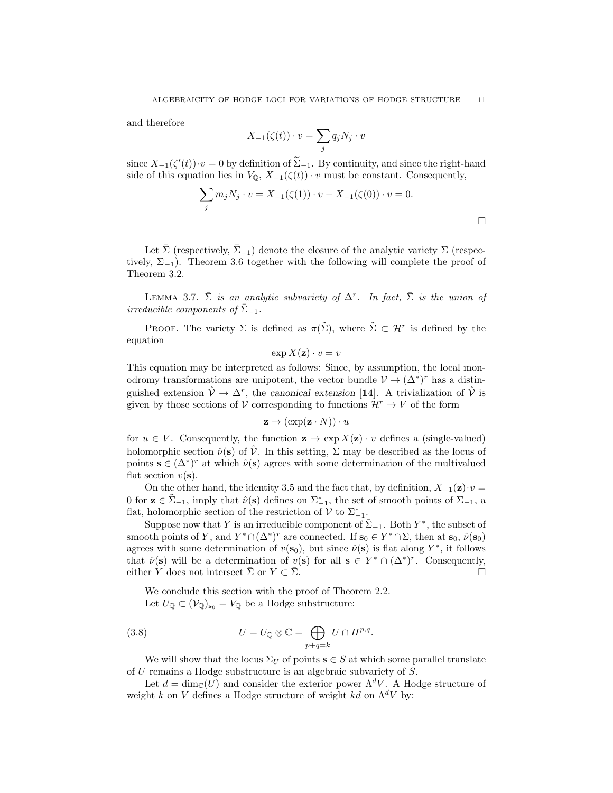and therefore

$$
X_{-1}(\zeta(t)) \cdot v = \sum_j q_j N_j \cdot v
$$

since  $X_{-1}(\zeta'(t))\cdot v=0$  by definition of  $\sum_{-1}^{\infty}$ . By continuity, and since the right-hand side of this equation lies in  $V_{\mathbb{Q}}$ ,  $X_{-1}(\zeta(t)) \cdot v$  must be constant. Consequently,

$$
\sum_{j} m_{j} N_{j} \cdot v = X_{-1}(\zeta(1)) \cdot v - X_{-1}(\zeta(0)) \cdot v = 0.
$$

Let  $\bar{\Sigma}$  (respectively,  $\bar{\Sigma}_{-1}$ ) denote the closure of the analytic variety  $\Sigma$  (respectively,  $\Sigma_{-1}$ ). Theorem 3.6 together with the following will complete the proof of Theorem 3.2.

LEMMA 3.7.  $\bar{\Sigma}$  is an analytic subvariety of  $\Delta^r$ . In fact,  $\bar{\Sigma}$  is the union of irreducible components of  $\bar{\Sigma}_{-1}$ .

PROOF. The variety  $\Sigma$  is defined as  $\pi(\tilde{\Sigma})$ , where  $\tilde{\Sigma} \subset \mathcal{H}^r$  is defined by the equation

$$
\exp X(\mathbf{z}) \cdot v = v
$$

This equation may be interpreted as follows: Since, by assumption, the local monodromy transformations are unipotent, the vector bundle  $\mathcal{V} \to (\Delta^*)^r$  has a distinguished extension  $\hat{\mathcal{V}} \to \Delta^r$ , the canonical extension [14]. A trivialization of  $\hat{\mathcal{V}}$  is given by those sections of V corresponding to functions  $\mathcal{H}^r \to V$  of the form

$$
\mathbf{z} \to (\exp(\mathbf{z} \cdot N)) \cdot u
$$

for  $u \in V$ . Consequently, the function  $z \to \exp X(z) \cdot v$  defines a (single-valued) holomorphic section  $\hat{\nu}(\mathbf{s})$  of  $\hat{\nu}$ . In this setting,  $\Sigma$  may be described as the locus of points  $\mathbf{s} \in (\Delta^*)^r$  at which  $\hat{\nu}(\mathbf{s})$  agrees with some determination of the multivalued flat section  $v(\mathbf{s})$ .

On the other hand, the identity 3.5 and the fact that, by definition,  $X_{-1}(\mathbf{z})\cdot v =$ 0 for  $z \in \tilde{\Sigma}_{-1}$ , imply that  $\hat{\nu}(s)$  defines on  $\Sigma_{-1}^*$ , the set of smooth points of  $\Sigma_{-1}$ , a flat, holomorphic section of the restriction of  $V$  to  $\Sigma_{-1}^*$ .

Suppose now that Y is an irreducible component of  $\overline{\Sigma}_{-1}$ . Both  $Y^*$ , the subset of smooth points of Y, and  $Y^* \cap (\Delta^*)^r$  are connected. If  $s_0 \in Y^* \cap \Sigma$ , then at  $s_0$ ,  $\hat{\nu}(s_0)$ agrees with some determination of  $v(\mathbf{s}_0)$ , but since  $\hat{\nu}(\mathbf{s})$  is flat along  $Y^*$ , it follows that  $\hat{\nu}(\mathbf{s})$  will be a determination of  $v(\mathbf{s})$  for all  $\mathbf{s} \in Y^* \cap (\Delta^*)^r$ . Consequently, either Y does not intersect  $\Sigma$  or  $Y \subset \Sigma$ .  $\Box$ 

We conclude this section with the proof of Theorem 2.2. Let  $U_{\mathbb{Q}} \subset (\mathcal{V}_{\mathbb{Q}})_{\mathbf{s}_0} = V_{\mathbb{Q}}$  be a Hodge substructure:

(3.8) 
$$
U = U_{\mathbb{Q}} \otimes \mathbb{C} = \bigoplus_{p+q=k} U \cap H^{p,q}.
$$

We will show that the locus  $\Sigma_U$  of points  $s \in S$  at which some parallel translate of U remains a Hodge substructure is an algebraic subvariety of S.

Let  $d = \dim_{\mathbb{C}}(U)$  and consider the exterior power  $\Lambda^d V$ . A Hodge structure of weight k on V defines a Hodge structure of weight kd on  $\Lambda^d V$  by: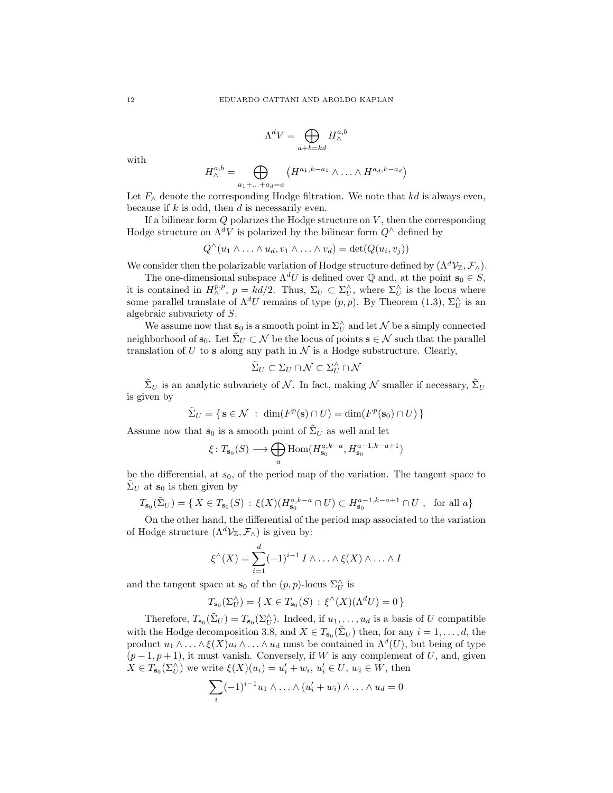$$
\Lambda^d V = \bigoplus_{a+b=kd} H^{a,b}_{\wedge}
$$

with

$$
H^{a,b}_{\wedge} = \bigoplus_{a_1 + \ldots + a_d = a} \left( H^{a_1,k-a_1} \wedge \ldots \wedge H^{a_d,k-a_d} \right)
$$

Let  $F_\wedge$  denote the corresponding Hodge filtration. We note that kd is always even, because if  $k$  is odd, then  $d$  is necessarily even.

If a bilinear form  $Q$  polarizes the Hodge structure on  $V$ , then the corresponding Hodge structure on  $\Lambda^d V$  is polarized by the bilinear form  $Q^\wedge$  defined by

$$
Q^{\wedge}(u_1 \wedge \ldots \wedge u_d, v_1 \wedge \ldots \wedge v_d) = \det(Q(u_i, v_j))
$$

We consider then the polarizable variation of Hodge structure defined by  $(\Lambda^d \mathcal{V}_{\mathbb{Z}}, \mathcal{F}_{\wedge})$ .

The one-dimensional subspace  $\Lambda^d U$  is defined over  $\mathbb Q$  and, at the point  $s_0 \in S$ , it is contained in  $H^{p,p}_\wedge$ ,  $p = kd/2$ . Thus,  $\Sigma_U \subset \Sigma_U^\wedge$ , where  $\Sigma_U^\wedge$  is the locus where some parallel translate of  $\Lambda^d U$  remains of type  $(p, p)$ . By Theorem (1.3),  $\Sigma_U^{\wedge}$  is an algebraic subvariety of S.

We assume now that  $\mathbf{s}_0$  is a smooth point in  $\Sigma_U^{\wedge}$  and let  $\mathcal N$  be a simply connected neighborhood of  $\mathbf{s}_0$ . Let  $\Sigma_U \subset \mathcal{N}$  be the locus of points  $\mathbf{s} \in \mathcal{N}$  such that the parallel translation of  $U$  to s along any path in  $\mathcal N$  is a Hodge substructure. Clearly,

$$
\tilde{\Sigma}_U\subset \Sigma_U\cap \mathcal{N}\subset \Sigma_U^\wedge\cap \mathcal{N}
$$

 $\tilde{\Sigma}_U$  is an analytic subvariety of N. In fact, making N smaller if necessary,  $\tilde{\Sigma}_U$ is given by

$$
\tilde{\Sigma}_U = \{ \mathbf{s} \in \mathcal{N} \; : \; \dim(F^p(\mathbf{s}) \cap U) = \dim(F^p(\mathbf{s}_0) \cap U) \}
$$

Assume now that  $s_0$  is a smooth point of  $\tilde{\Sigma}_U$  as well and let

$$
\xi\colon T_{\mathbf{s}_0}(S)\longrightarrow \bigoplus_a \text{Hom}(H_{\mathbf{s}_0}^{a,k-a},H_{\mathbf{s}_0}^{a-1,k-a+1})
$$

be the differential, at  $s_0$ , of the period map of the variation. The tangent space to  $\Sigma_U$  at  $s_0$  is then given by

$$
T_{\mathbf{s}_0}(\tilde{\Sigma}_U) = \{ X \in T_{\mathbf{s}_0}(S) : \xi(X)(H_{\mathbf{s}_0}^{a,k-a} \cap U) \subset H_{\mathbf{s}_0}^{a-1,k-a+1} \cap U , \text{ for all } a \}
$$

On the other hand, the differential of the period map associated to the variation of Hodge structure  $(\Lambda^d \mathcal{V}_\mathbb{Z}, \mathcal{F}_\wedge)$  is given by:

$$
\xi^{\wedge}(X) = \sum_{i=1}^{d} (-1)^{i-1} I \wedge \ldots \wedge \xi(X) \wedge \ldots \wedge I
$$

and the tangent space at  $\mathbf{s}_0$  of the  $(p, p)$ -locus  $\Sigma_U^{\wedge}$  is

$$
T_{\mathbf{s}_0}(\Sigma_U^{\wedge}) = \{ X \in T_{\mathbf{s}_0}(S) : \xi^{\wedge}(X)(\Lambda^d U) = 0 \}
$$

Therefore,  $T_{s_0}(\tilde{\Sigma}_U) = T_{s_0}(\Sigma_U^{\wedge})$ . Indeed, if  $u_1, \ldots, u_d$  is a basis of U compatible with the Hodge decomposition 3.8, and  $X \in T_{s_0}(\tilde{\Sigma}_U)$  then, for any  $i = 1, \ldots, d$ , the product  $u_1 \wedge \ldots \wedge \xi(X) u_i \wedge \ldots \wedge u_d$  must be contained in  $\Lambda^d(U)$ , but being of type  $(p-1, p+1)$ , it must vanish. Conversely, if W is any complement of U, and, given  $X \in T_{\mathbf{s}_0}(\Sigma_U^{\wedge})$  we write  $\xi(X)(u_i) = u'_i + w_i, u'_i \in U, w_i \in W$ , then

$$
\sum_{i} (-1)^{i-1} u_1 \wedge \ldots \wedge (u'_i + w_i) \wedge \ldots \wedge u_d = 0
$$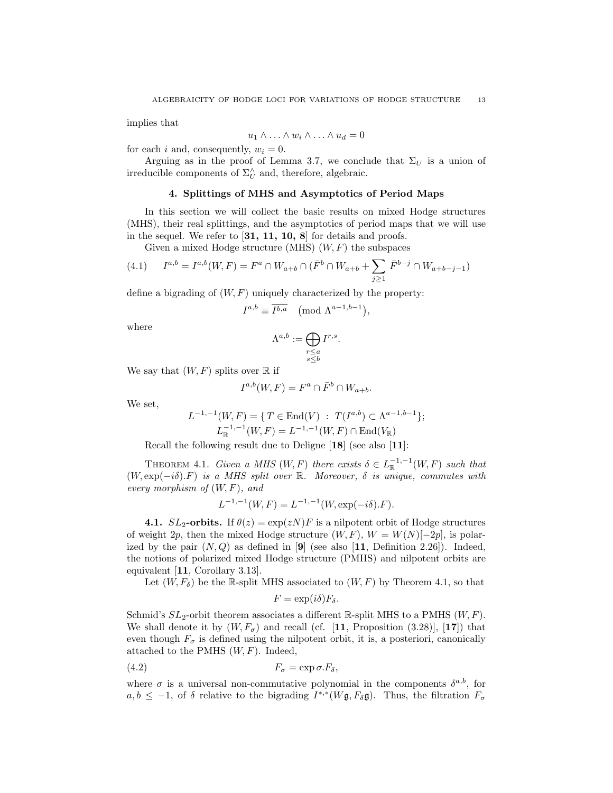implies that

$$
u_1 \wedge \ldots \wedge w_i \wedge \ldots \wedge u_d = 0
$$

for each i and, consequently,  $w_i = 0$ .

Arguing as in the proof of Lemma 3.7, we conclude that  $\Sigma_U$  is a union of irreducible components of  $\Sigma^\wedge_U$  and, therefore, algebraic.

## 4. Splittings of MHS and Asymptotics of Period Maps

In this section we will collect the basic results on mixed Hodge structures (MHS), their real splittings, and the asymptotics of period maps that we will use in the sequel. We refer to [31, 11, 10, 8] for details and proofs.

Given a mixed Hodge structure (MHS)  $(W, F)$  the subspaces

(4.1) 
$$
I^{a,b} = I^{a,b}(W, F) = F^a \cap W_{a+b} \cap (\bar{F}^b \cap W_{a+b} + \sum_{j \ge 1} \bar{F}^{b-j} \cap W_{a+b-j-1})
$$

define a bigrading of  $(W, F)$  uniquely characterized by the property:

$$
I^{a,b} \equiv \overline{I^{b,a}} \pmod{\Lambda^{a-1,b-1}},
$$

where

$$
\Lambda^{a,b}:=\bigoplus_{\substack{r\leq a\\s\leq b}}I^{r,s}.
$$

We say that  $(W, F)$  splits over  $\mathbb R$  if

$$
I^{a,b}(W,F) = F^a \cap \bar{F}^b \cap W_{a+b}.
$$

We set,

$$
L^{-1,-1}(W,F) = \{ T \in \text{End}(V) : T(I^{a,b}) \subset \Lambda^{a-1,b-1} \};
$$
  

$$
L_{\mathbb{R}}^{-1,-1}(W,F) = L^{-1,-1}(W,F) \cap \text{End}(V_{\mathbb{R}})
$$

Recall the following result due to Deligne [18] (see also [11]:

THEOREM 4.1. Given a MHS  $(W, F)$  there exists  $\delta \in L_{\mathbb{R}}^{-1,-1}(W, F)$  such that  $(W, \exp(-i\delta).F)$  is a MHS split over R. Moreover,  $\delta$  is unique, commutes with every morphism of  $(W, F)$ , and

$$
L^{-1,-1}(W,F) = L^{-1,-1}(W, \exp(-i\delta).F).
$$

**4.1.**  $SL_2$ -orbits. If  $\theta(z) = \exp(zN)F$  is a nilpotent orbit of Hodge structures of weight 2p, then the mixed Hodge structure  $(W, F)$ ,  $W = W(N)[-2p]$ , is polarized by the pair  $(N, Q)$  as defined in [9] (see also [11, Definition 2.26]). Indeed, the notions of polarized mixed Hodge structure (PMHS) and nilpotent orbits are equivalent [11, Corollary 3.13].

Let  $(W, F_{\delta})$  be the R-split MHS associated to  $(W, F)$  by Theorem 4.1, so that

$$
F = \exp(i\delta) F_{\delta}.
$$

Schmid's  $SL_2$ -orbit theorem associates a different R-split MHS to a PMHS  $(W, F)$ . We shall denote it by  $(W, F_{\sigma})$  and recall (cf. [11, Proposition (3.28)], [17]) that even though  $F_{\sigma}$  is defined using the nilpotent orbit, it is, a posteriori, canonically attached to the PMHS  $(W, F)$ . Indeed,

$$
(4.2) \t\t\t F_{\sigma} = \exp \sigma . F_{\delta},
$$

where  $\sigma$  is a universal non-commutative polynomial in the components  $\delta^{a,b}$ , for  $a, b \leq -1$ , of  $\delta$  relative to the bigrading  $I^{*,*}(W\mathfrak{g}, F_{\delta}\mathfrak{g})$ . Thus, the filtration  $F_{\sigma}$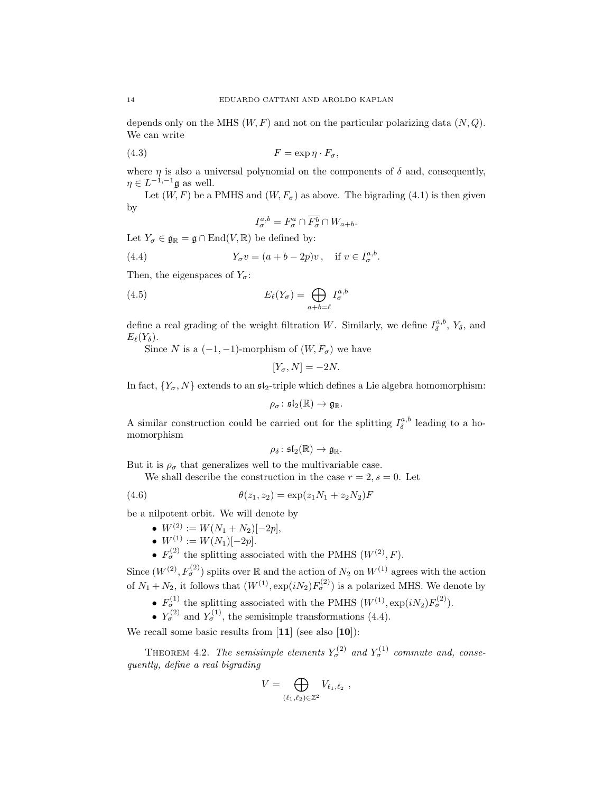depends only on the MHS  $(W, F)$  and not on the particular polarizing data  $(N, Q)$ . We can write

$$
(4.3) \t\t\t F = \exp \eta \cdot F_{\sigma},
$$

where  $\eta$  is also a universal polynomial on the components of  $\delta$  and, consequently,  $\eta \in L^{-1,-1} \mathfrak{g}$  as well.

Let  $(W, F)$  be a PMHS and  $(W, F_{\sigma})$  as above. The bigrading (4.1) is then given by

$$
I_{\sigma}^{a,b} = F_{\sigma}^a \cap \overline{F_{\sigma}^b} \cap W_{a+b}.
$$

Let  $Y_{\sigma} \in \mathfrak{g}_{\mathbb{R}} = \mathfrak{g} \cap \text{End}(V, \mathbb{R})$  be defined by:

(4.4) 
$$
Y_{\sigma}v = (a+b-2p)v
$$
, if  $v \in I_{\sigma}^{a,b}$ .

Then, the eigenspaces of  $Y_{\sigma}$ :

(4.5) 
$$
E_{\ell}(Y_{\sigma}) = \bigoplus_{a+b=\ell} I_{\sigma}^{a,b}
$$

define a real grading of the weight filtration W. Similarly, we define  $I_{\delta}^{a,b}$ ,  $Y_{\delta}$ , and  $E_{\ell}(Y_{\delta}).$ 

Since N is a  $(-1, -1)$ -morphism of  $(W, F_{\sigma})$  we have

$$
[Y_{\sigma}, N] = -2N.
$$

In fact,  $\{Y_{\sigma}, N\}$  extends to an  $\mathfrak{sl}_2$ -triple which defines a Lie algebra homomorphism:

$$
\rho_\sigma\colon \mathfrak{sl}_2(\mathbb{R})\to \mathfrak{g}_{\mathbb{R}}.
$$

A similar construction could be carried out for the splitting  $I_{\delta}^{a,b}$  leading to a homomorphism

$$
\rho_{\delta} \colon \mathfrak{sl}_2(\mathbb{R}) \to \mathfrak{g}_{\mathbb{R}}.
$$

But it is  $\rho_{\sigma}$  that generalizes well to the multivariable case.

We shall describe the construction in the case  $r = 2$ ,  $s = 0$ . Let

(4.6) 
$$
\theta(z_1, z_2) = \exp(z_1 N_1 + z_2 N_2) F
$$

be a nilpotent orbit. We will denote by

- $W^{(2)} := W(N_1 + N_2)[-2p],$
- $W^{(1)} := W(N_1)[-2p].$
- $F_{\sigma}^{(2)}$  the splitting associated with the PMHS  $(W^{(2)}, F)$ .

Since  $(W^{(2)}, F^{(2)}_{\sigma})$  splits over R and the action of  $N_2$  on  $W^{(1)}$  agrees with the action of  $N_1 + N_2$ , it follows that  $(W^{(1)}, \exp(iN_2)F_\sigma^{(2)})$  is a polarized MHS. We denote by

- $F_{\sigma}^{(1)}$  the splitting associated with the PMHS  $(W^{(1)}, \exp(iN_2)F_{\sigma}^{(2)})$ .
- $Y_{\sigma}^{(2)}$  and  $Y_{\sigma}^{(1)}$ , the semisimple transformations (4.4).

We recall some basic results from  $[11]$  (see also  $[10]$ ):

THEOREM 4.2. The semisimple elements  $Y_{\sigma}^{(2)}$  and  $Y_{\sigma}^{(1)}$  commute and, consequently, define a real bigrading

$$
V = \bigoplus_{(\ell_1,\ell_2)\in\mathbb{Z}^2} V_{\ell_1,\ell_2} ,
$$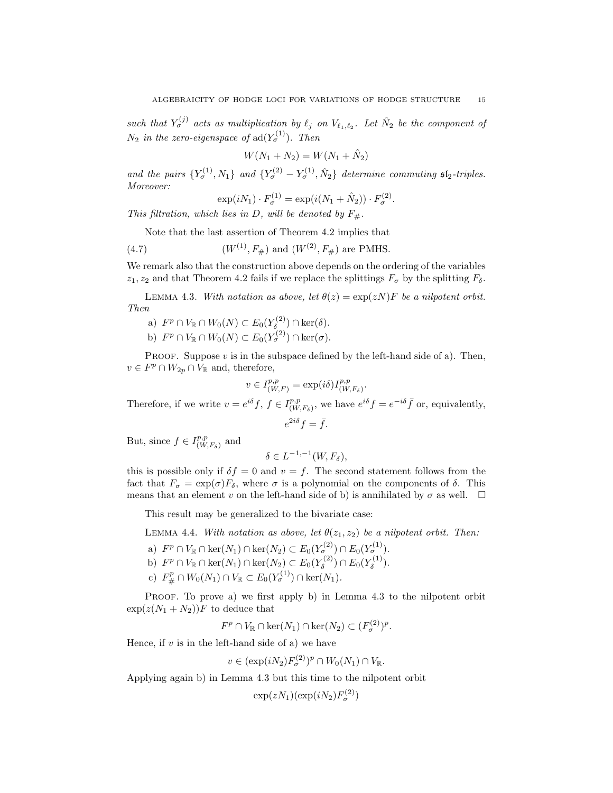such that  $Y_{\sigma}^{(j)}$  acts as multiplication by  $\ell_j$  on  $V_{\ell_1,\ell_2}$ . Let  $\hat{N}_2$  be the component of  $N_2$  in the zero-eigenspace of  $\text{ad}(Y_{\sigma}^{(1)})$ . Then

$$
W(N_1 + N_2) = W(N_1 + \hat{N}_2)
$$

and the pairs  $\{Y_{\sigma}^{(1)}, N_1\}$  and  $\{Y_{\sigma}^{(2)} - Y_{\sigma}^{(1)}, N_2\}$  determine commuting  $\mathfrak{sl}_2$ -triples. Moreover:

$$
\exp(iN_1) \cdot F_{\sigma}^{(1)} = \exp(i(N_1 + \hat{N}_2)) \cdot F_{\sigma}^{(2)}.
$$

This filtration, which lies in D, will be denoted by  $F_{\#}$ .

Note that the last assertion of Theorem 4.2 implies that

(4.7)  $(W^{(1)}, F_{\#})$  and  $(W^{(2)}, F_{\#})$  are PMHS.

We remark also that the construction above depends on the ordering of the variables  $z_1, z_2$  and that Theorem 4.2 fails if we replace the splittings  $F_{\sigma}$  by the splitting  $F_{\delta}$ .

LEMMA 4.3. With notation as above, let  $\theta(z) = \exp(zN)F$  be a nilpotent orbit. Then

a)  $F^p \cap V_{\mathbb{R}} \cap W_0(N) \subset E_0(Y_\delta^{(2)}$  $\zeta_{\delta}^{(2)}$ )  $\cap$  ker $(\delta)$ . b)  $F^p \cap V_{\mathbb{R}} \cap W_0(N) \subset E_0(Y^{(2)}_{\sigma}) \cap \ker(\sigma)$ .

PROOF. Suppose  $v$  is in the subspace defined by the left-hand side of a). Then,  $v \in F^p \cap W_{2p} \cap V_{\mathbb{R}}$  and, therefore,

$$
v \in I^{p,p}_{(W,F)} = \exp(i\delta)I^{p,p}_{(W,F_\delta)}.
$$

Therefore, if we write  $v = e^{i\delta} f$ ,  $f \in I_{(W)}^{p,p}$  $e^{i\delta} f = e^{-i\delta} \bar{f}$  or, equivalently,  $e^{2i\delta} f = \bar{f}.$ 

But, since  $f \in I_{(W)}^{p,p}$  $\substack{p,p \ (W,F_\delta) \text{ and}}$ 

$$
\delta \in L^{-1,-1}(W, F_{\delta}),
$$

this is possible only if  $\delta f = 0$  and  $v = f$ . The second statement follows from the fact that  $F_{\sigma} = \exp(\sigma) F_{\delta}$ , where  $\sigma$  is a polynomial on the components of  $\delta$ . This means that an element v on the left-hand side of b) is annihilated by  $\sigma$  as well.  $\Box$ 

This result may be generalized to the bivariate case:

LEMMA 4.4. With notation as above, let  $\theta(z_1, z_2)$  be a nilpotent orbit. Then:

- a)  $F^p \cap V_{\mathbb{R}} \cap \text{ker}(N_1) \cap \text{ker}(N_2) \subset E_0(Y^{(2)}_{\sigma}) \cap E_0(Y^{(1)}_{\sigma}).$
- b)  $F^p \cap V_{\mathbb{R}} \cap \text{ker}(N_1) \cap \text{ker}(N_2) \subset E_0(Y_\delta^{(2)})$  $E_0(Y_{\delta}^{(2)}) \cap E_0(Y_{\delta}^{(1)})$  $\delta^{(1)}$ ).
- c)  $F_{\#}^p \cap W_0(N_1) \cap V_{\mathbb{R}} \subset E_0(Y_{\sigma}^{(1)}) \cap \ker(N_1)$ .

PROOF. To prove a) we first apply b) in Lemma 4.3 to the nilpotent orbit  $\exp(z(N_1 + N_2))F$  to deduce that

$$
F^p \cap V_{\mathbb{R}} \cap \ker(N_1) \cap \ker(N_2) \subset (F^{(2)}_{\sigma})^p.
$$

Hence, if  $v$  is in the left-hand side of a) we have

$$
v \in (\exp(iN_2)F_{\sigma}^{(2)})^p \cap W_0(N_1) \cap V_{\mathbb{R}}.
$$

Applying again b) in Lemma 4.3 but this time to the nilpotent orbit

$$
\exp(zN_1)(\exp(iN_2)F_{\sigma}^{(2)})
$$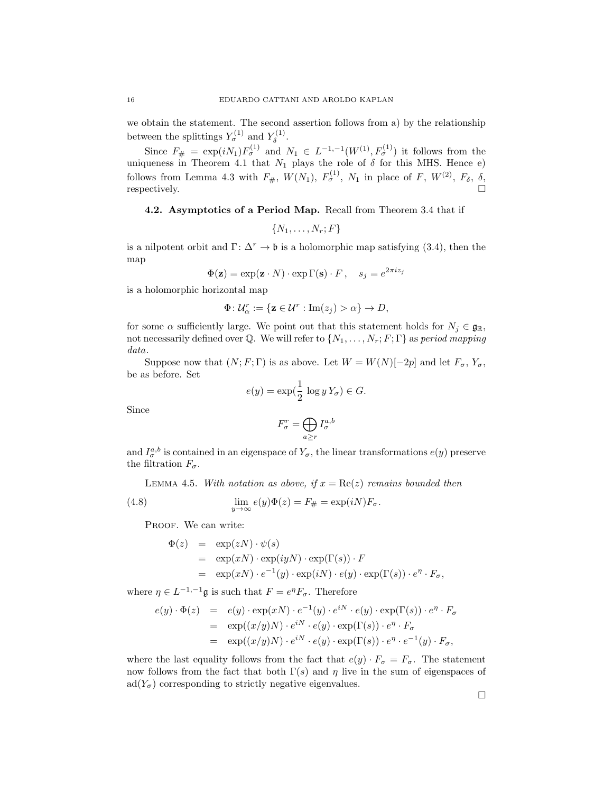we obtain the statement. The second assertion follows from a) by the relationship between the splittings  $Y_{\sigma}^{(1)}$  and  $Y_{\delta}^{(1)}$  $\delta^{(1)}$ .

Since  $F_{\#} = \exp(iN_1)F_{\sigma}^{(1)}$  and  $N_1 \in L^{-1,-1}(W^{(1)}, F_{\sigma}^{(1)})$  it follows from the uniqueness in Theorem 4.1 that  $N_1$  plays the role of  $\delta$  for this MHS. Hence e) follows from Lemma 4.3 with  $F_{\#}, W(N_1), F_{\sigma}^{(1)}, N_1$  in place of F,  $W^{(2)}, F_{\delta}, \delta,$ respectively.  $\Box$ 

4.2. Asymptotics of a Period Map. Recall from Theorem 3.4 that if

$$
\{N_1,\ldots,N_r;F\}
$$

is a nilpotent orbit and  $\Gamma: \Delta^r \to \mathfrak{b}$  is a holomorphic map satisfying (3.4), then the map

$$
\Phi(\mathbf{z}) = \exp(\mathbf{z} \cdot N) \cdot \exp \Gamma(\mathbf{s}) \cdot F, \quad s_j = e^{2\pi i z_j}
$$

is a holomorphic horizontal map

$$
\Phi \colon \mathcal{U}_{\alpha}^r := \{ \mathbf{z} \in \mathcal{U}^r : \text{Im}(z_j) > \alpha \} \to D,
$$

for some  $\alpha$  sufficiently large. We point out that this statement holds for  $N_i \in \mathfrak{g}_\mathbb{R}$ , not necessarily defined over Q. We will refer to  $\{N_1, \ldots, N_r; F; \Gamma\}$  as period mapping data.

Suppose now that  $(N; F; \Gamma)$  is as above. Let  $W = W(N)[-2p]$  and let  $F_{\sigma}$ ,  $Y_{\sigma}$ , be as before. Set

$$
e(y) = \exp(\frac{1}{2} \log y Y_{\sigma}) \in G.
$$

Since

$$
F_\sigma^r = \bigoplus_{a \geq r} I_\sigma^{a,b}
$$

and  $I_{\sigma}^{a,b}$  is contained in an eigenspace of  $Y_{\sigma}$ , the linear transformations  $e(y)$  preserve the filtration  $F_{\sigma}$ .

LEMMA 4.5. With notation as above, if  $x = \text{Re}(z)$  remains bounded then

(4.8) 
$$
\lim_{y \to \infty} e(y)\Phi(z) = F_{\#} = \exp(iN)F_{\sigma}.
$$

PROOF. We can write:

$$
\Phi(z) = \exp(zN) \cdot \psi(s)
$$
  
=  $\exp(xN) \cdot \exp(iyN) \cdot \exp(\Gamma(s)) \cdot F$   
=  $\exp(xN) \cdot e^{-1}(y) \cdot \exp(iN) \cdot e(y) \cdot \exp(\Gamma(s)) \cdot e^{\eta} \cdot F_{\sigma},$ 

where  $\eta \in L^{-1,-1} \mathfrak{g}$  is such that  $F = e^{\eta} F_{\sigma}$ . Therefore

$$
e(y) \cdot \Phi(z) = e(y) \cdot \exp(xN) \cdot e^{-1}(y) \cdot e^{iN} \cdot e(y) \cdot \exp(\Gamma(s)) \cdot e^{\eta} \cdot F_{\sigma}
$$
  
= 
$$
\exp((x/y)N) \cdot e^{iN} \cdot e(y) \cdot \exp(\Gamma(s)) \cdot e^{\eta} \cdot F_{\sigma}
$$
  
= 
$$
\exp((x/y)N) \cdot e^{iN} \cdot e(y) \cdot \exp(\Gamma(s)) \cdot e^{\eta} \cdot e^{-1}(y) \cdot F_{\sigma},
$$

where the last equality follows from the fact that  $e(y) \cdot F_{\sigma} = F_{\sigma}$ . The statement now follows from the fact that both  $\Gamma(s)$  and  $\eta$  live in the sum of eigenspaces of  $\text{ad}(Y_{\sigma})$  corresponding to strictly negative eigenvalues.

 $\Box$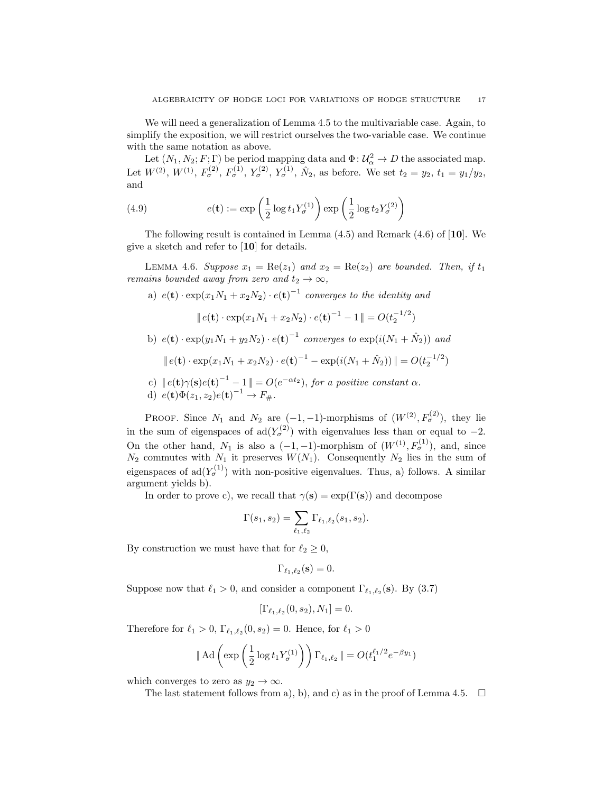We will need a generalization of Lemma 4.5 to the multivariable case. Again, to simplify the exposition, we will restrict ourselves the two-variable case. We continue with the same notation as above.

Let  $(N_1, N_2; F; \Gamma)$  be period mapping data and  $\Phi: \mathcal{U}_\alpha^2 \to D$  the associated map. Let  $W^{(2)}$ ,  $W^{(1)}$ ,  $F_{\sigma}^{(2)}$ ,  $F_{\sigma}^{(1)}$ ,  $Y_{\sigma}^{(2)}$ ,  $Y_{\sigma}^{(1)}$ ,  $\hat{N}_2$ , as before. We set  $t_2 = y_2$ ,  $t_1 = y_1/y_2$ , and

(4.9) 
$$
e(\mathbf{t}) := \exp\left(\frac{1}{2}\log t_1 Y_\sigma^{(1)}\right) \exp\left(\frac{1}{2}\log t_2 Y_\sigma^{(2)}\right)
$$

The following result is contained in Lemma  $(4.5)$  and Remark  $(4.6)$  of  $\vert \mathbf{10} \vert$ . We give a sketch and refer to [10] for details.

LEMMA 4.6. Suppose  $x_1 = \text{Re}(z_1)$  and  $x_2 = \text{Re}(z_2)$  are bounded. Then, if  $t_1$ remains bounded away from zero and  $t_2 \rightarrow \infty$ ,

a) 
$$
e(\mathbf{t}) \cdot \exp(x_1 N_1 + x_2 N_2) \cdot e(\mathbf{t})^{-1}
$$
 converges to the identity and  
\n
$$
\|e(\mathbf{t}) \cdot \exp(x_1 N_1 + x_2 N_2) \cdot e(\mathbf{t})^{-1} - 1\| = O(t_2^{-1/2})
$$
\nb)  $e(\mathbf{t}) \cdot \exp(y_1 N_1 + y_2 N_2) \cdot e(\mathbf{t})^{-1}$  converges to  $\exp(i(N_1 + \hat{N}_2))$  and  
\n
$$
\|e(\mathbf{t}) \cdot \exp(x_1 N_1 + x_2 N_2) \cdot e(\mathbf{t})^{-1} - \exp(i(N_1 + \hat{N}_2))\| = O(t_2^{-1/2})
$$
\nc) 
$$
\|e(\mathbf{t})\gamma(\mathbf{s})e(\mathbf{t})^{-1} - 1\| = O(e^{-\alpha t_2}), \text{ for a positive constant } \alpha.
$$

d) 
$$
e(\mathbf{t})\Phi(z_1, z_2)e(\mathbf{t})^{-1} \to F_{\#}.
$$

PROOF. Since  $N_1$  and  $N_2$  are  $(-1, -1)$ -morphisms of  $(W^{(2)}, F^{(2)}_{\sigma})$ , they lie in the sum of eigenspaces of  $\text{ad}(Y_{\sigma}^{(2)})$  with eigenvalues less than or equal to  $-2$ . On the other hand,  $N_1$  is also a  $(-1, -1)$ -morphism of  $(W^{(1)}, F^{(1)}_{\sigma})$ , and, since  $N_2$  commutes with  $N_1$  it preserves  $W(N_1)$ . Consequently  $N_2$  lies in the sum of eigenspaces of  $\text{ad}(Y_{\sigma}^{(1)})$  with non-positive eigenvalues. Thus, a) follows. A similar argument yields b).

In order to prove c), we recall that  $\gamma(s) = \exp(\Gamma(s))$  and decompose

$$
\Gamma(s_1, s_2) = \sum_{\ell_1, \ell_2} \Gamma_{\ell_1, \ell_2}(s_1, s_2).
$$

By construction we must have that for  $\ell_2 \geq 0$ ,

$$
\Gamma_{\ell_1,\ell_2}(\mathbf{s})=0.
$$

Suppose now that  $\ell_1 > 0$ , and consider a component  $\Gamma_{\ell_1,\ell_2}(\mathbf{s})$ . By (3.7)

$$
[\Gamma_{\ell_1,\ell_2}(0,s_2), N_1] = 0.
$$

Therefore for  $\ell_1 > 0$ ,  $\Gamma_{\ell_1, \ell_2}(0, s_2) = 0$ . Hence, for  $\ell_1 > 0$ 

$$
\|\operatorname{Ad}\left(\exp\left(\frac{1}{2}\log t_1 Y_\sigma^{(1)}\right)\right)\Gamma_{\ell_1,\ell_2}\| = O(t_1^{\ell_1/2}e^{-\beta y_1})
$$

which converges to zero as  $y_2 \to \infty$ .

The last statement follows from a), b), and c) as in the proof of Lemma 4.5.  $\Box$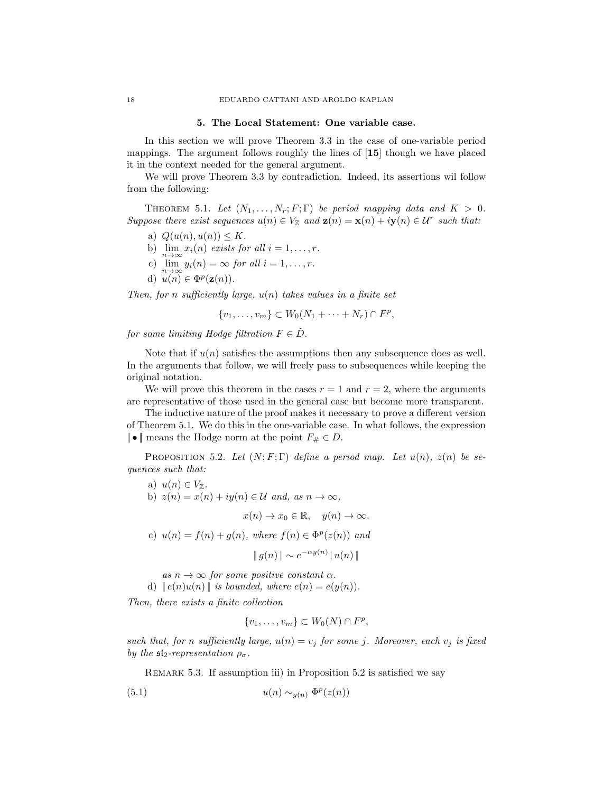#### 5. The Local Statement: One variable case.

In this section we will prove Theorem 3.3 in the case of one-variable period mappings. The argument follows roughly the lines of [15] though we have placed it in the context needed for the general argument.

We will prove Theorem 3.3 by contradiction. Indeed, its assertions wil follow from the following:

THEOREM 5.1. Let  $(N_1, \ldots, N_r; F; \Gamma)$  be period mapping data and  $K > 0$ . Suppose there exist sequences  $u(n) \in V_{\mathbb{Z}}$  and  $z(n) = x(n) + iy(n) \in \mathcal{U}^r$  such that:

- a)  $Q(u(n), u(n)) \leq K$ .
- b)  $\lim_{n\to\infty} x_i(n)$  exists for all  $i = 1, \ldots, r$ .
- c)  $\lim_{n\to\infty} y_i(n) = \infty$  for all  $i = 1, \ldots, r$ .
- d)  $u(n) \in \Phi^p(\mathbf{z}(n))$ .

Then, for n sufficiently large,  $u(n)$  takes values in a finite set

$$
\{v_1,\ldots,v_m\} \subset W_0(N_1+\cdots+N_r) \cap F^p,
$$

for some limiting Hodge filtration  $F \in \check{D}$ .

Note that if  $u(n)$  satisfies the assumptions then any subsequence does as well. In the arguments that follow, we will freely pass to subsequences while keeping the original notation.

We will prove this theorem in the cases  $r = 1$  and  $r = 2$ , where the arguments are representative of those used in the general case but become more transparent.

The inductive nature of the proof makes it necessary to prove a different version of Theorem 5.1. We do this in the one-variable case. In what follows, the expression  $\|\bullet\|$  means the Hodge norm at the point  $F_{\#} \in D$ .

PROPOSITION 5.2. Let  $(N; F; \Gamma)$  define a period map. Let  $u(n)$ ,  $z(n)$  be sequences such that:

a)  $u(n) \in V_{\mathbb{Z}}$ . b)  $z(n) = x(n) + iy(n) \in \mathcal{U}$  and, as  $n \to \infty$ ,  $x(n) \to x_0 \in \mathbb{R}, \quad y(n) \to \infty.$ c)  $u(n) = f(n) + g(n)$ , where  $f(n) \in \Phi^p(z(n))$  and

 $|| g(n) || \sim e^{-\alpha y(n)} || u(n) ||$ 

as  $n \to \infty$  for some positive constant  $\alpha$ .

d)  $\|e(n)u(n)\|$  is bounded, where  $e(n) = e(y(n))$ .

Then, there exists a finite collection

$$
\{v_1,\ldots,v_m\} \subset W_0(N) \cap F^p,
$$

such that, for n sufficiently large,  $u(n) = v_j$  for some j. Moreover, each  $v_j$  is fixed by the  $\mathfrak{sl}_2$ -representation  $\rho_{\sigma}$ .

REMARK 5.3. If assumption iii) in Proposition 5.2 is satisfied we say

(5.1) 
$$
u(n) \sim_{y(n)} \Phi^p(z(n))
$$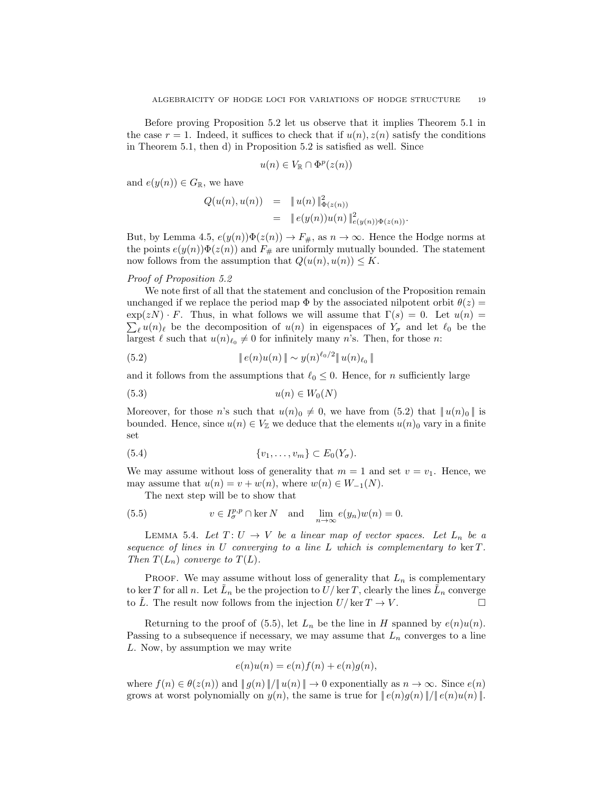Before proving Proposition 5.2 let us observe that it implies Theorem 5.1 in the case  $r = 1$ . Indeed, it suffices to check that if  $u(n)$ ,  $z(n)$  satisfy the conditions in Theorem 5.1, then d) in Proposition 5.2 is satisfied as well. Since

$$
u(n) \in V_{\mathbb{R}} \cap \Phi^p(z(n))
$$

and  $e(y(n)) \in G_{\mathbb{R}}$ , we have

$$
Q(u(n), u(n)) = \|u(n)\|_{\Phi(z(n))}^2
$$
  
= 
$$
\|e(y(n))u(n)\|_{e(y(n))\Phi(z(n))}^2.
$$

But, by Lemma 4.5,  $e(y(n))\Phi(z(n)) \to F_{\#}$ , as  $n \to \infty$ . Hence the Hodge norms at the points  $e(y(n))\Phi(z(n))$  and  $F_{\#}$  are uniformly mutually bounded. The statement now follows from the assumption that  $Q(u(n), u(n)) \leq K$ .

## Proof of Proposition 5.2

We note first of all that the statement and conclusion of the Proposition remain unchanged if we replace the period map  $\Phi$  by the associated nilpotent orbit  $\theta(z)$  =  $\exp(zN) \cdot F$ . Thus, in what follows we will assume that  $\Gamma(s) = 0$ . Let  $u(n) =$  $\sum_{\ell} u(n)_{\ell}$  be the decomposition of  $u(n)$  in eigenspaces of  $Y_{\sigma}$  and let  $\ell_0$  be the largest  $\ell$  such that  $u(n)_{\ell_0} \neq 0$  for infinitely many n's. Then, for those n:

(5.2) 
$$
\|e(n)u(n)\| \sim y(n)^{\ell_0/2} \|u(n)_{\ell_0}\|
$$

and it follows from the assumptions that  $\ell_0 \leq 0$ . Hence, for *n* sufficiently large

$$
(5.3) \t u(n) \in W_0(N)
$$

Moreover, for those n's such that  $u(n)_0 \neq 0$ , we have from (5.2) that  $||u(n)_0||$  is bounded. Hence, since  $u(n) \in V_{\mathbb{Z}}$  we deduce that the elements  $u(n)$ <sub>0</sub> vary in a finite set

$$
(5.4) \qquad \{v_1,\ldots,v_m\} \subset E_0(Y_\sigma).
$$

We may assume without loss of generality that  $m = 1$  and set  $v = v_1$ . Hence, we may assume that  $u(n) = v + w(n)$ , where  $w(n) \in W_{-1}(N)$ .

The next step will be to show that

(5.5) 
$$
v \in I_{\sigma}^{p,p} \cap \ker N \quad \text{and} \quad \lim_{n \to \infty} e(y_n)w(n) = 0.
$$

LEMMA 5.4. Let  $T: U \to V$  be a linear map of vector spaces. Let  $L_n$  be a sequence of lines in  $U$  converging to a line  $L$  which is complementary to ker  $T$ . Then  $T(L_n)$  converge to  $T(L)$ .

PROOF. We may assume without loss of generality that  $L_n$  is complementary to ker T for all n. Let  $\tilde{L}_n$  be the projection to  $\tilde{U}/\ker T$ , clearly the lines  $\tilde{L}_n$  converge to  $\tilde{L}$ . The result now follows from the injection  $U/\ker T \to V$ .

Returning to the proof of (5.5), let  $L_n$  be the line in H spanned by  $e(n)u(n)$ . Passing to a subsequence if necessary, we may assume that  $L_n$  converges to a line L. Now, by assumption we may write

$$
e(n)u(n) = e(n)f(n) + e(n)g(n),
$$

where  $f(n) \in \theta(z(n))$  and  $||g(n)||/||u(n)|| \to 0$  exponentially as  $n \to \infty$ . Since  $e(n)$ grows at worst polynomially on  $y(n)$ , the same is true for  $||e(n)g(n)||/||e(n)u(n)||$ .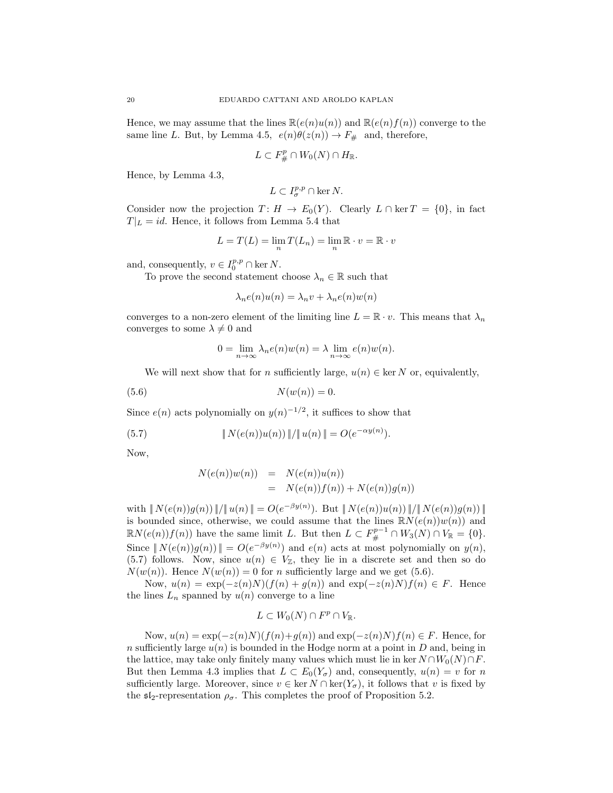Hence, we may assume that the lines  $\mathbb{R}(e(n)u(n))$  and  $\mathbb{R}(e(n)f(n))$  converge to the same line L. But, by Lemma 4.5,  $e(n)\theta(z(n)) \to F_{\#}$  and, therefore,

$$
L\subset F_{\#}^p\cap W_0(N)\cap H_{\mathbb{R}}.
$$

Hence, by Lemma 4.3,

$$
L\subset I^{p,p}_\sigma\cap \ker N.
$$

Consider now the projection  $T: H \to E_0(Y)$ . Clearly  $L \cap \text{ker } T = \{0\}$ , in fact  $T|_L = id$ . Hence, it follows from Lemma 5.4 that

$$
L = T(L) = \lim_{n} T(L_n) = \lim_{n} \mathbb{R} \cdot v = \mathbb{R} \cdot v
$$

and, consequently,  $v \in I_0^{p,p} \cap \text{ker } N$ .

To prove the second statement choose  $\lambda_n \in \mathbb{R}$  such that

$$
\lambda_n e(n)u(n) = \lambda_n v + \lambda_n e(n)w(n)
$$

converges to a non-zero element of the limiting line  $L = \mathbb{R} \cdot v$ . This means that  $\lambda_n$ converges to some  $\lambda \neq 0$  and

$$
0 = \lim_{n \to \infty} \lambda_n e(n) w(n) = \lambda \lim_{n \to \infty} e(n) w(n).
$$

We will next show that for n sufficiently large,  $u(n) \in \text{ker } N$  or, equivalently,

$$
(5.6) \t\t N(w(n)) = 0.
$$

Since  $e(n)$  acts polynomially on  $y(n)^{-1/2}$ , it suffices to show that

(5.7) 
$$
\| N(e(n))u(n)) \| / \| u(n) \| = O(e^{-\alpha y(n)}).
$$

Now,

$$
N(e(n))w(n) = N(e(n))u(n)
$$
  
= 
$$
N(e(n))f(n) + N(e(n))g(n)
$$

with  $|| N(e(n))g(n) ||/|| u(n) || = O(e^{-\beta y(n)})$ . But  $|| N(e(n))u(n) ||/|| N(e(n))g(n) ||$ is bounded since, otherwise, we could assume that the lines  $\mathbb{R}N(e(n))w(n)$  and  $\mathbb{R}N(e(n))f(n)$  have the same limit L. But then  $L \subset F^{p-1}_\# \cap W_3(N) \cap V_\mathbb{R} = \{0\}.$ Since  $||N(e(n))g(n)|| = O(e^{-\beta y(n)})$  and  $e(n)$  acts at most polynomially on  $y(n)$ , (5.7) follows. Now, since  $u(n) \in V_{\mathbb{Z}}$ , they lie in a discrete set and then so do  $N(w(n))$ . Hence  $N(w(n)) = 0$  for *n* sufficiently large and we get (5.6).

Now,  $u(n) = \exp(-z(n)N)(f(n) + g(n))$  and  $\exp(-z(n)N)f(n) \in F$ . Hence the lines  $L_n$  spanned by  $u(n)$  converge to a line

$$
L\subset W_0(N)\cap F^p\cap V_{\mathbb{R}}.
$$

Now,  $u(n) = \exp(-z(n)N)(f(n)+g(n))$  and  $\exp(-z(n)N)f(n) \in F$ . Hence, for n sufficiently large  $u(n)$  is bounded in the Hodge norm at a point in D and, being in the lattice, may take only finitely many values which must lie in ker  $N \cap W_0(N) \cap F$ . But then Lemma 4.3 implies that  $L \subset E_0(Y_\sigma)$  and, consequently,  $u(n) = v$  for n sufficiently large. Moreover, since  $v \in \text{ker } N \cap \text{ker}(Y_\sigma)$ , it follows that v is fixed by the  $\mathfrak{sl}_2$ -representation  $\rho_{\sigma}$ . This completes the proof of Proposition 5.2.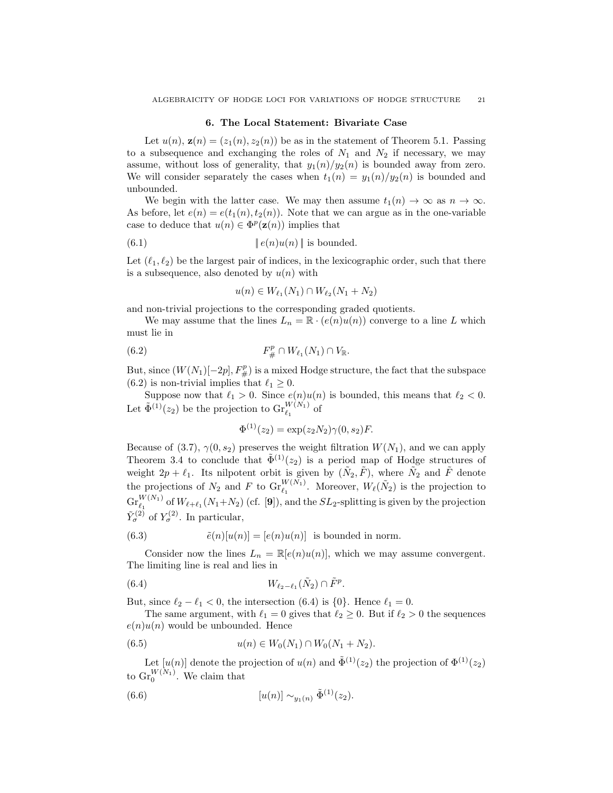#### 6. The Local Statement: Bivariate Case

Let  $u(n)$ ,  $\mathbf{z}(n) = (z_1(n), z_2(n))$  be as in the statement of Theorem 5.1. Passing to a subsequence and exchanging the roles of  $N_1$  and  $N_2$  if necessary, we may assume, without loss of generality, that  $y_1(n)/y_2(n)$  is bounded away from zero. We will consider separately the cases when  $t_1(n) = y_1(n)/y_2(n)$  is bounded and unbounded.

We begin with the latter case. We may then assume  $t_1(n) \to \infty$  as  $n \to \infty$ . As before, let  $e(n) = e(t_1(n), t_2(n))$ . Note that we can argue as in the one-variable case to deduce that  $u(n) \in \Phi^p(\mathbf{z}(n))$  implies that

(6.1) 
$$
\|e(n)u(n)\| \text{ is bounded.}
$$

Let  $(\ell_1, \ell_2)$  be the largest pair of indices, in the lexicographic order, such that there is a subsequence, also denoted by  $u(n)$  with

$$
u(n) \in W_{\ell_1}(N_1) \cap W_{\ell_2}(N_1 + N_2)
$$

and non-trivial projections to the corresponding graded quotients.

We may assume that the lines  $L_n = \mathbb{R} \cdot (e(n)u(n))$  converge to a line L which must lie in

(6.2) 
$$
F_{\#}^p \cap W_{\ell_1}(N_1) \cap V_{\mathbb{R}}.
$$

But, since  $(W(N_1)[-2p], F^p_{\#})$  is a mixed Hodge structure, the fact that the subspace (6.2) is non-trivial implies that  $\ell_1 \geq 0$ .

Suppose now that  $\ell_1 > 0$ . Since  $e(n)u(n)$  is bounded, this means that  $\ell_2 < 0$ . Let  $\tilde{\Phi}^{(1)}(z_2)$  be the projection to  $\operatorname{Gr}_{\ell_1}^{W(N_1)}$  of

$$
\Phi^{(1)}(z_2) = \exp(z_2 N_2) \gamma(0, s_2) F.
$$

Because of (3.7),  $\gamma(0, s_2)$  preserves the weight filtration  $W(N_1)$ , and we can apply Theorem 3.4 to conclude that  $\tilde{\Phi}^{(1)}(z_2)$  is a period map of Hodge structures of weight  $2p + \ell_1$ . Its nilpotent orbit is given by  $(\tilde{N}_2, \tilde{F})$ , where  $\tilde{N}_2$  and  $\tilde{F}$  denote the projections of  $N_2$  and F to  $\text{Gr}_{\ell_1}^{W(N_1)}$ . Moreover,  $W_{\ell}(\tilde{N}_2)$  is the projection to  $\operatorname{Gr}_{\ell_1}^{W(N_1)}$  of  $W_{\ell+\ell_1}(N_1+N_2)$  (cf. [9]), and the  $SL_2$ -splitting is given by the projection  $\tilde{Y}_{\sigma}^{(2)}$  of  $Y_{\sigma}^{(2)}$ . In particular,

(6.3) 
$$
\tilde{e}(n)[u(n)] = [e(n)u(n)] \text{ is bounded in norm.}
$$

Consider now the lines  $L_n = \mathbb{R}[e(n)u(n)]$ , which we may assume convergent. The limiting line is real and lies in

$$
(6.4) \t\t W_{\ell_2-\ell_1}(\tilde{N}_2) \cap \tilde{F}^p.
$$

But, since  $\ell_2 - \ell_1 < 0$ , the intersection (6.4) is {0}. Hence  $\ell_1 = 0$ .

The same argument, with  $\ell_1 = 0$  gives that  $\ell_2 \geq 0$ . But if  $\ell_2 > 0$  the sequences  $e(n)u(n)$  would be unbounded. Hence

$$
(6.5) \t u(n) \in W_0(N_1) \cap W_0(N_1 + N_2).
$$

Let  $[u(n)]$  denote the projection of  $u(n)$  and  $\tilde{\Phi}^{(1)}(z_2)$  the projection of  $\Phi^{(1)}(z_2)$ to  $\mathrm{Gr}_{0}^{W(N_1)}$ . We claim that

(6.6) 
$$
[u(n)] \sim_{y_1(n)} \tilde{\Phi}^{(1)}(z_2).
$$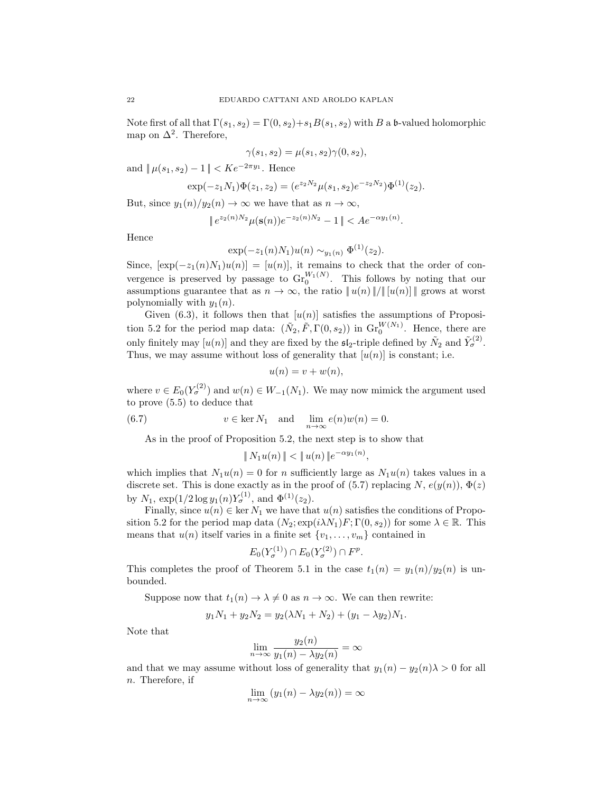Note first of all that  $\Gamma(s_1, s_2) = \Gamma(0, s_2) + s_1 B(s_1, s_2)$  with B a b-valued holomorphic map on  $\Delta^2$ . Therefore,

$$
\gamma(s_1, s_2) = \mu(s_1, s_2)\gamma(0, s_2),
$$

and  $\|\mu(s_1, s_2) - 1\| < Ke^{-2\pi y_1}$ . Hence

$$
\exp(-z_1N_1)\Phi(z_1,z_2)=(e^{z_2N_2}\mu(s_1,s_2)e^{-z_2N_2})\Phi^{(1)}(z_2).
$$

But, since  $y_1(n)/y_2(n) \to \infty$  we have that as  $n \to \infty$ ,

$$
\|e^{z_2(n)N_2}\mu(\mathbf{s}(n))e^{-z_2(n)N_2}-1\|
$$

Hence

$$
\exp(-z_1(n)N_1)u(n) \sim_{y_1(n)} \Phi^{(1)}(z_2).
$$

Since,  $[\exp(-z_1(n)N_1)u(n)] = [u(n)]$ , it remains to check that the order of convergence is preserved by passage to  $\operatorname{Gr}_{0}^{W_{1}(N)}$ . This follows by noting that our assumptions guarantee that as  $n \to \infty$ , the ratio  $||u(n)||/|| [u(n)]||$  grows at worst polynomially with  $y_1(n)$ .

Given (6.3), it follows then that  $[u(n)]$  satisfies the assumptions of Proposition 5.2 for the period map data:  $(\tilde{N}_2, \tilde{F}, \Gamma(0, s_2))$  in  $\text{Gr}_{0}^{W(N_1)}$ . Hence, there are only finitely may  $[u(n)]$  and they are fixed by the  $\mathfrak{sl}_2$ -triple defined by  $\tilde{N}_2$  and  $\tilde{Y}_{\sigma}^{(2)}$ . Thus, we may assume without loss of generality that  $[u(n)]$  is constant; i.e.

$$
u(n) = v + w(n),
$$

where  $v \in E_0(Y_\sigma^{(2)})$  and  $w(n) \in W_{-1}(N_1)$ . We may now mimick the argument used to prove (5.5) to deduce that

(6.7) 
$$
v \in \ker N_1 \quad \text{and} \quad \lim_{n \to \infty} e(n)w(n) = 0.
$$

As in the proof of Proposition 5.2, the next step is to show that

$$
\|N_1u(n)\| < \|u(n)\|e^{-\alpha y_1(n)},
$$

which implies that  $N_1u(n) = 0$  for n sufficiently large as  $N_1u(n)$  takes values in a discrete set. This is done exactly as in the proof of (5.7) replacing  $N$ ,  $e(y(n))$ ,  $\Phi(z)$ by  $N_1$ ,  $\exp(1/2 \log y_1(n) Y_\sigma^{(1)}$ , and  $\Phi^{(1)}(z_2)$ .

Finally, since  $u(n) \in \text{ker } N_1$  we have that  $u(n)$  satisfies the conditions of Proposition 5.2 for the period map data  $(N_2; \exp(i\lambda N_1)F; \Gamma(0, s_2))$  for some  $\lambda \in \mathbb{R}$ . This means that  $u(n)$  itself varies in a finite set  $\{v_1, \ldots, v_m\}$  contained in

$$
E_0(Y_{\sigma}^{(1)}) \cap E_0(Y_{\sigma}^{(2)}) \cap F^p.
$$

This completes the proof of Theorem 5.1 in the case  $t_1(n) = y_1(n)/y_2(n)$  is unbounded.

Suppose now that  $t_1(n) \to \lambda \neq 0$  as  $n \to \infty$ . We can then rewrite:

$$
y_1N_1 + y_2N_2 = y_2(\lambda N_1 + N_2) + (y_1 - \lambda y_2)N_1.
$$

Note that

$$
\lim_{n \to \infty} \frac{y_2(n)}{y_1(n) - \lambda y_2(n)} = \infty
$$

and that we may assume without loss of generality that  $y_1(n) - y_2(n)\lambda > 0$  for all n. Therefore, if

$$
\lim_{n \to \infty} (y_1(n) - \lambda y_2(n)) = \infty
$$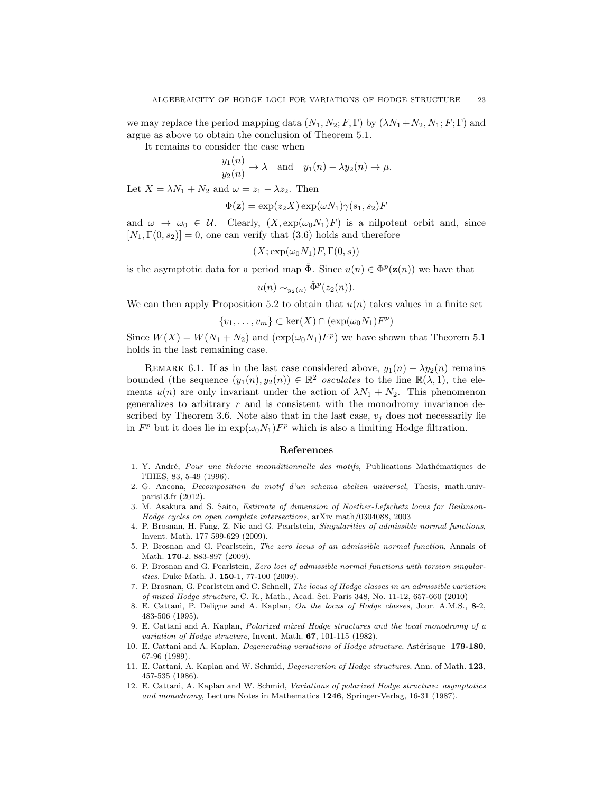we may replace the period mapping data  $(N_1, N_2; F, \Gamma)$  by  $(\lambda N_1 + N_2, N_1; F; \Gamma)$  and argue as above to obtain the conclusion of Theorem 5.1.

It remains to consider the case when

$$
\frac{y_1(n)}{y_2(n)} \to \lambda \quad \text{and} \quad y_1(n) - \lambda y_2(n) \to \mu.
$$

Let  $X = \lambda N_1 + N_2$  and  $\omega = z_1 - \lambda z_2$ . Then

$$
\Phi(\mathbf{z}) = \exp(z_2 X) \exp(\omega N_1) \gamma(s_1, s_2) F
$$

and  $\omega \to \omega_0 \in \mathcal{U}$ . Clearly,  $(X, \exp(\omega_0 N_1)F)$  is a nilpotent orbit and, since  $[N_1, \Gamma(0, s_2)] = 0$ , one can verify that (3.6) holds and therefore

$$
(X; \exp(\omega_0 N_1) F, \Gamma(0, s))
$$

is the asymptotic data for a period map  $\hat{\Phi}$ . Since  $u(n) \in \Phi^p(\mathbf{z}(n))$  we have that

$$
u(n) \sim_{y_2(n)} \hat{\Phi}^p(z_2(n)).
$$

We can then apply Proposition 5.2 to obtain that  $u(n)$  takes values in a finite set

 $\{v_1, \ldots, v_m\} \subset \ker(X) \cap (\exp(\omega_0 N_1) F^p)$ 

Since  $W(X) = W(N_1 + N_2)$  and  $(\exp(\omega_0 N_1) F^p)$  we have shown that Theorem 5.1 holds in the last remaining case.

REMARK 6.1. If as in the last case considered above,  $y_1(n) - \lambda y_2(n)$  remains bounded (the sequence  $(y_1(n), y_2(n)) \in \mathbb{R}^2$  osculates to the line  $\mathbb{R}(\lambda, 1)$ , the elements  $u(n)$  are only invariant under the action of  $\lambda N_1 + N_2$ . This phenomenon generalizes to arbitrary  $r$  and is consistent with the monodromy invariance described by Theorem 3.6. Note also that in the last case,  $v_i$  does not necessarily lie in  $F^p$  but it does lie in  $\exp(\omega_0 N_1) F^p$  which is also a limiting Hodge filtration.

## References

- 1. Y. André, Pour une théorie inconditionnelle des motifs, Publications Mathématiques de l'IHES, 83, 5-49 (1996).
- 2. G. Ancona, Decomposition du motif d'un schema abelien universel, Thesis, math.univparis13.fr (2012).
- 3. M. Asakura and S. Saito, Estimate of dimension of Noether-Lefschetz locus for Beilinson-Hodge cycles on open complete intersections, arXiv math/0304088, 2003
- 4. P. Brosnan, H. Fang, Z. Nie and G. Pearlstein, Singularities of admissible normal functions, Invent. Math. 177 599-629 (2009).
- 5. P. Brosnan and G. Pearlstein, The zero locus of an admissible normal function, Annals of Math. **170-2**, 883-897 (2009).
- 6. P. Brosnan and G. Pearlstein, Zero loci of admissible normal functions with torsion singularities, Duke Math. J. 150-1, 77-100 (2009).
- 7. P. Brosnan, G. Pearlstein and C. Schnell, The locus of Hodge classes in an admissible variation of mixed Hodge structure, C. R., Math., Acad. Sci. Paris 348, No. 11-12, 657-660 (2010)
- 8. E. Cattani, P. Deligne and A. Kaplan, On the locus of Hodge classes, Jour. A.M.S., 8-2, 483-506 (1995).
- 9. E. Cattani and A. Kaplan, Polarized mixed Hodge structures and the local monodromy of a variation of Hodge structure, Invent. Math. 67, 101-115 (1982).
- 10. E. Cattani and A. Kaplan, Degenerating variations of Hodge structure, Astérisque 179-180, 67-96 (1989).
- 11. E. Cattani, A. Kaplan and W. Schmid, Degeneration of Hodge structures, Ann. of Math. 123, 457-535 (1986).
- 12. E. Cattani, A. Kaplan and W. Schmid, Variations of polarized Hodge structure: asymptotics and monodromy, Lecture Notes in Mathematics 1246, Springer-Verlag, 16-31 (1987).